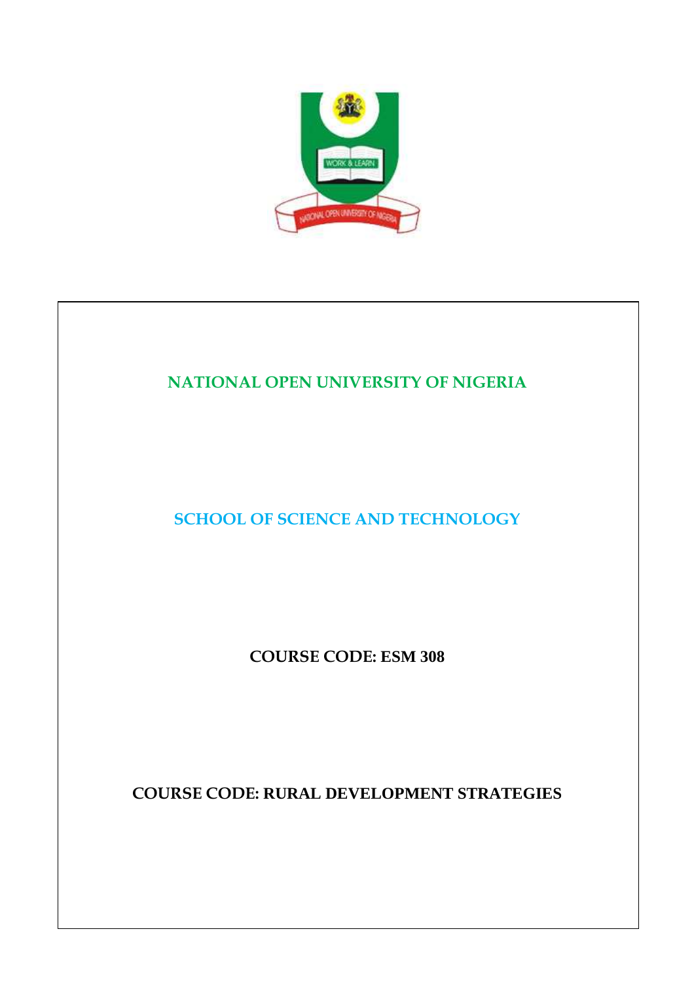

# **NATIONAL OPEN UNIVERSITY OF NIGERIA**

**SCHOOL OF SCIENCE AND TECHNOLOGY** 

**COURSE CODE: ESM 308**

**COURSE CODE: RURAL DEVELOPMENT STRATEGIES**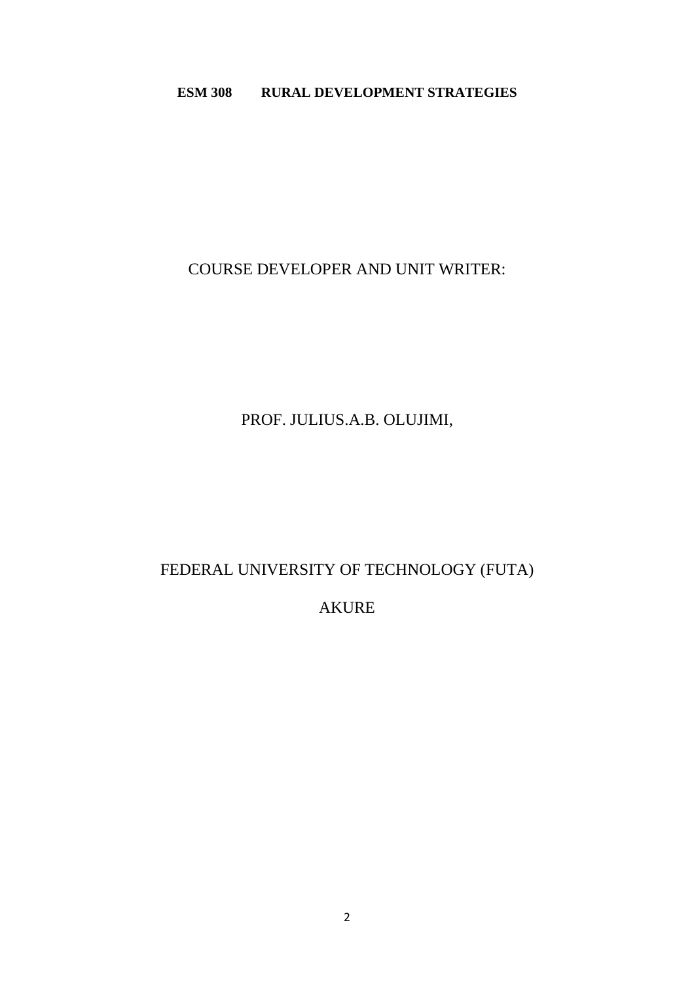### **ESM 308 RURAL DEVELOPMENT STRATEGIES**

# COURSE DEVELOPER AND UNIT WRITER:

# PROF. JULIUS.A.B. OLUJIMI,

# FEDERAL UNIVERSITY OF TECHNOLOGY (FUTA)

# AKURE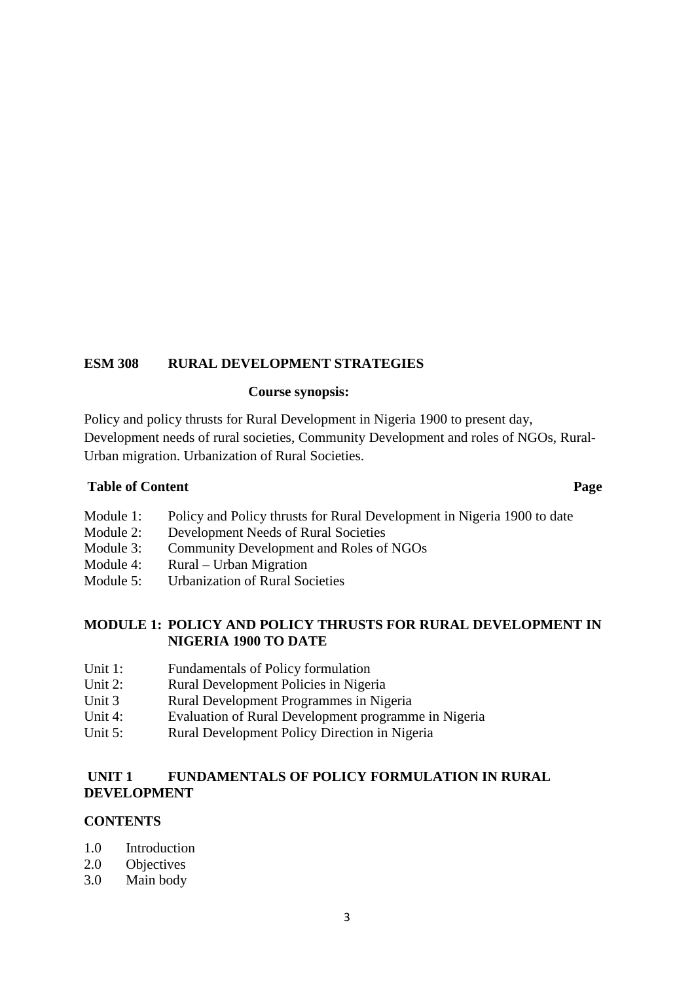### **ESM 308 RURAL DEVELOPMENT STRATEGIES**

#### **Course synopsis:**

Policy and policy thrusts for Rural Development in Nigeria 1900 to present day, Development needs of rural societies, Community Development and roles of NGOs, Rural-Urban migration. Urbanization of Rural Societies.

#### **Table of Content Page 2018**

Module 1: Policy and Policy thrusts for Rural Development in Nigeria 1900 to date

- Module 2: Development Needs of Rural Societies
- Module 3: Community Development and Roles of NGOs
- Module 4: Rural Urban Migration
- Module 5: Urbanization of Rural Societies

### **MODULE 1: POLICY AND POLICY THRUSTS FOR RURAL DEVELOPMENT IN NIGERIA 1900 TO DATE**

- Unit 1: Fundamentals of Policy formulation
- Unit 2: Rural Development Policies in Nigeria
- Unit 3 Rural Development Programmes in Nigeria
- Unit 4: Evaluation of Rural Development programme in Nigeria
- Unit 5: Rural Development Policy Direction in Nigeria

### **UNIT 1 FUNDAMENTALS OF POLICY FORMULATION IN RURAL DEVELOPMENT**

### **CONTENTS**

- 1.0 Introduction
- 2.0 Objectives
- 3.0 Main body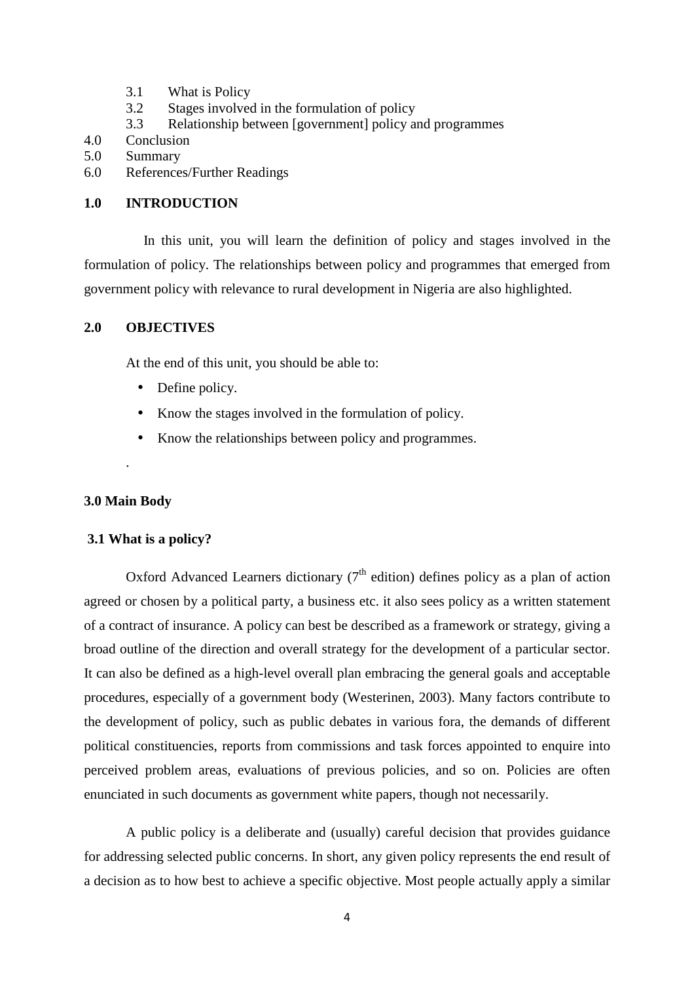- 3.1 What is Policy
- 3.2 Stages involved in the formulation of policy
- 3.3 Relationship between [government] policy and programmes
- 4.0 Conclusion
- 5.0 Summary
- 6.0 References/Further Readings

### **1.0 INTRODUCTION**

In this unit, you will learn the definition of policy and stages involved in the formulation of policy. The relationships between policy and programmes that emerged from government policy with relevance to rural development in Nigeria are also highlighted.

### **2.0 OBJECTIVES**

At the end of this unit, you should be able to:

- Define policy.
- Know the stages involved in the formulation of policy.
- Know the relationships between policy and programmes.

### **3.0 Main Body**

.

### **3.1 What is a policy?**

Oxford Advanced Learners dictionary  $(7<sup>th</sup>$  edition) defines policy as a plan of action agreed or chosen by a political party, a business etc. it also sees policy as a written statement of a contract of insurance. A policy can best be described as a framework or strategy, giving a broad outline of the direction and overall strategy for the development of a particular sector. It can also be defined as a high-level overall plan embracing the general goals and acceptable procedures, especially of a government body (Westerinen, 2003). Many factors contribute to the development of policy, such as public debates in various fora, the demands of different political constituencies, reports from commissions and task forces appointed to enquire into perceived problem areas, evaluations of previous policies, and so on. Policies are often enunciated in such documents as government white papers, though not necessarily.

A public policy is a deliberate and (usually) careful decision that provides guidance for addressing selected public concerns. In short, any given policy represents the end result of a decision as to how best to achieve a specific objective. Most people actually apply a similar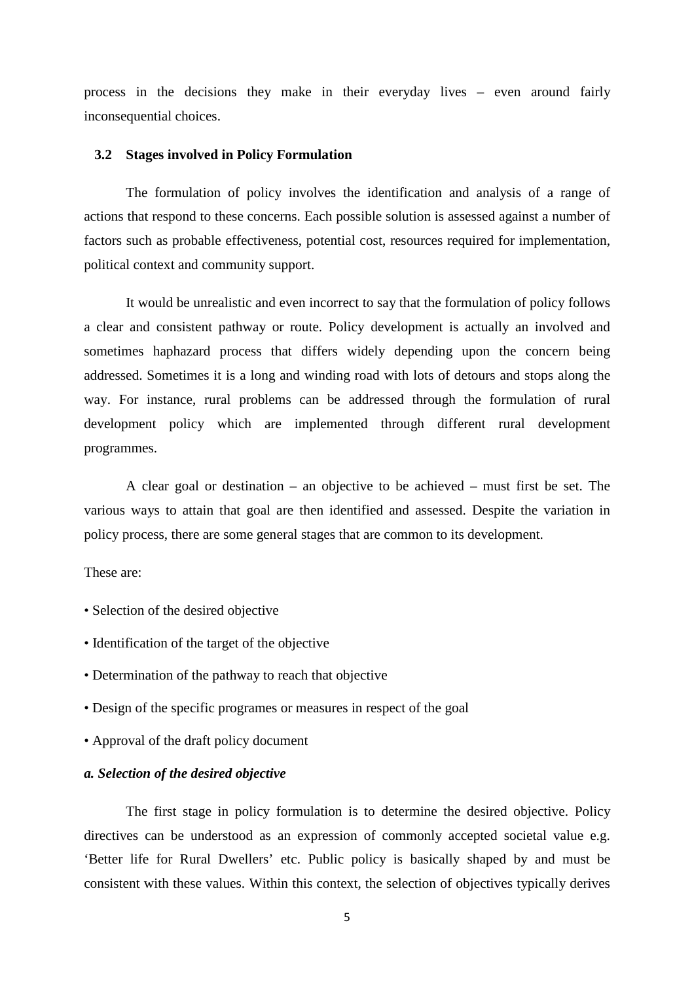process in the decisions they make in their everyday lives – even around fairly inconsequential choices.

#### **3.2 Stages involved in Policy Formulation**

The formulation of policy involves the identification and analysis of a range of actions that respond to these concerns. Each possible solution is assessed against a number of factors such as probable effectiveness, potential cost, resources required for implementation, political context and community support.

It would be unrealistic and even incorrect to say that the formulation of policy follows a clear and consistent pathway or route. Policy development is actually an involved and sometimes haphazard process that differs widely depending upon the concern being addressed. Sometimes it is a long and winding road with lots of detours and stops along the way. For instance, rural problems can be addressed through the formulation of rural development policy which are implemented through different rural development programmes.

A clear goal or destination – an objective to be achieved – must first be set. The various ways to attain that goal are then identified and assessed. Despite the variation in policy process, there are some general stages that are common to its development.

#### These are:

- Selection of the desired objective
- Identification of the target of the objective
- Determination of the pathway to reach that objective
- Design of the specific programes or measures in respect of the goal
- Approval of the draft policy document

### *a. Selection of the desired objective*

The first stage in policy formulation is to determine the desired objective. Policy directives can be understood as an expression of commonly accepted societal value e.g. 'Better life for Rural Dwellers' etc. Public policy is basically shaped by and must be consistent with these values. Within this context, the selection of objectives typically derives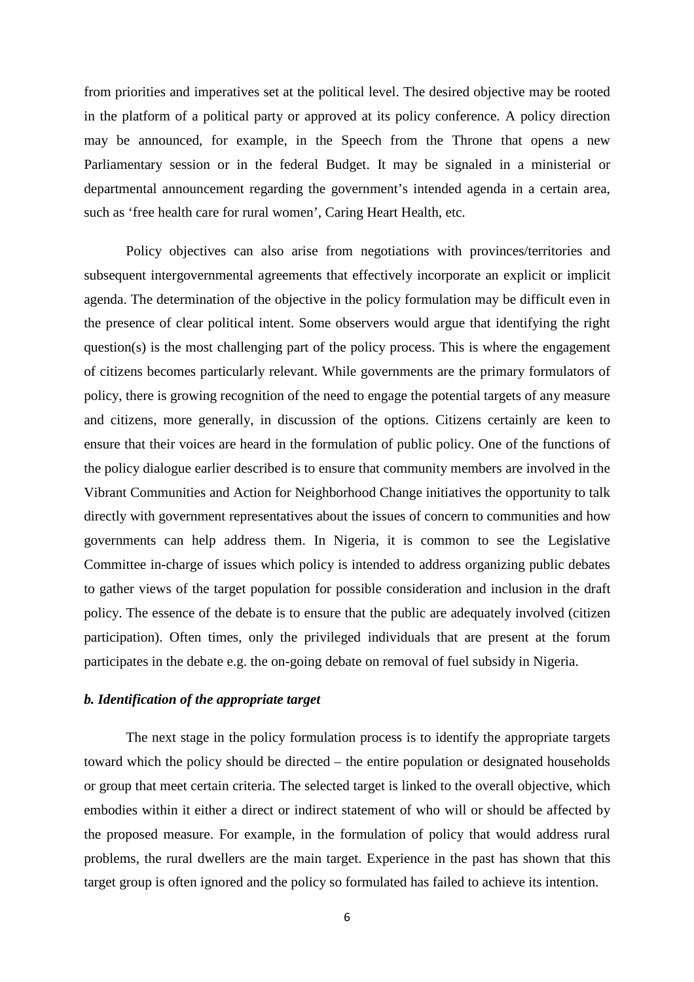from priorities and imperatives set at the political level. The desired objective may be rooted in the platform of a political party or approved at its policy conference. A policy direction may be announced, for example, in the Speech from the Throne that opens a new Parliamentary session or in the federal Budget. It may be signaled in a ministerial or departmental announcement regarding the government's intended agenda in a certain area, such as 'free health care for rural women', Caring Heart Health, etc.

Policy objectives can also arise from negotiations with provinces/territories and subsequent intergovernmental agreements that effectively incorporate an explicit or implicit agenda. The determination of the objective in the policy formulation may be difficult even in the presence of clear political intent. Some observers would argue that identifying the right question(s) is the most challenging part of the policy process. This is where the engagement of citizens becomes particularly relevant. While governments are the primary formulators of policy, there is growing recognition of the need to engage the potential targets of any measure and citizens, more generally, in discussion of the options. Citizens certainly are keen to ensure that their voices are heard in the formulation of public policy. One of the functions of the policy dialogue earlier described is to ensure that community members are involved in the Vibrant Communities and Action for Neighborhood Change initiatives the opportunity to talk directly with government representatives about the issues of concern to communities and how governments can help address them. In Nigeria, it is common to see the Legislative Committee in-charge of issues which policy is intended to address organizing public debates to gather views of the target population for possible consideration and inclusion in the draft policy. The essence of the debate is to ensure that the public are adequately involved (citizen participation). Often times, only the privileged individuals that are present at the forum participates in the debate e.g. the on-going debate on removal of fuel subsidy in Nigeria.

#### *b. Identification of the appropriate target*

The next stage in the policy formulation process is to identify the appropriate targets toward which the policy should be directed – the entire population or designated households or group that meet certain criteria. The selected target is linked to the overall objective, which embodies within it either a direct or indirect statement of who will or should be affected by the proposed measure. For example, in the formulation of policy that would address rural problems, the rural dwellers are the main target. Experience in the past has shown that this target group is often ignored and the policy so formulated has failed to achieve its intention.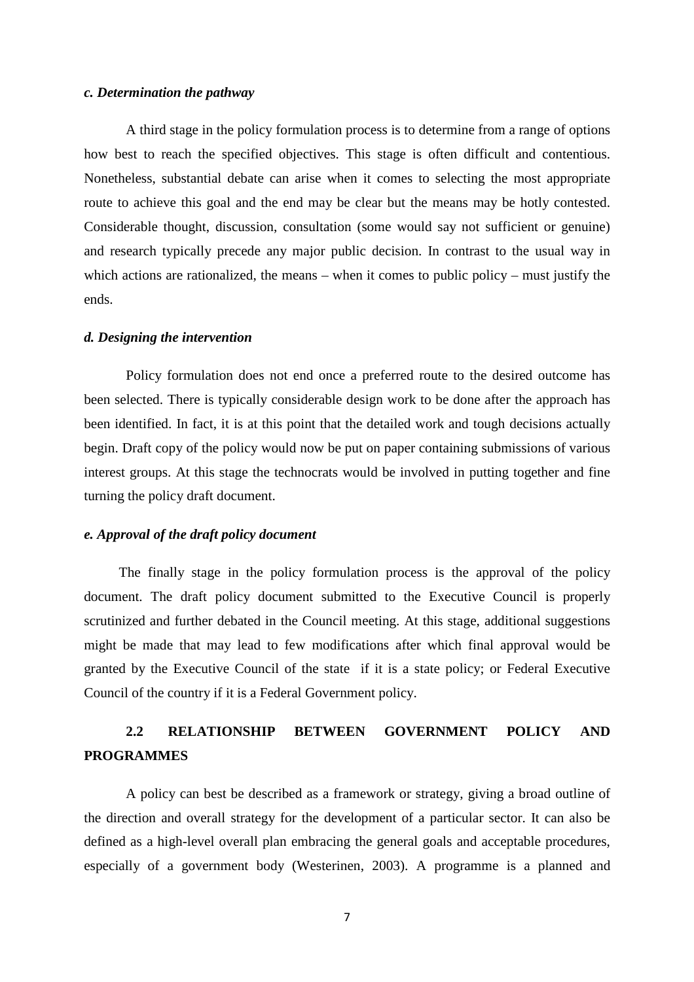#### *c. Determination the pathway*

A third stage in the policy formulation process is to determine from a range of options how best to reach the specified objectives. This stage is often difficult and contentious. Nonetheless, substantial debate can arise when it comes to selecting the most appropriate route to achieve this goal and the end may be clear but the means may be hotly contested. Considerable thought, discussion, consultation (some would say not sufficient or genuine) and research typically precede any major public decision. In contrast to the usual way in which actions are rationalized, the means – when it comes to public policy – must justify the ends.

#### *d. Designing the intervention*

Policy formulation does not end once a preferred route to the desired outcome has been selected. There is typically considerable design work to be done after the approach has been identified. In fact, it is at this point that the detailed work and tough decisions actually begin. Draft copy of the policy would now be put on paper containing submissions of various interest groups. At this stage the technocrats would be involved in putting together and fine turning the policy draft document.

#### *e. Approval of the draft policy document*

 The finally stage in the policy formulation process is the approval of the policy document. The draft policy document submitted to the Executive Council is properly scrutinized and further debated in the Council meeting. At this stage, additional suggestions might be made that may lead to few modifications after which final approval would be granted by the Executive Council of the state if it is a state policy; or Federal Executive Council of the country if it is a Federal Government policy.

# **2.2 RELATIONSHIP BETWEEN GOVERNMENT POLICY AND PROGRAMMES**

A policy can best be described as a framework or strategy, giving a broad outline of the direction and overall strategy for the development of a particular sector. It can also be defined as a high-level overall plan embracing the general goals and acceptable procedures, especially of a government body (Westerinen, 2003). A programme is a planned and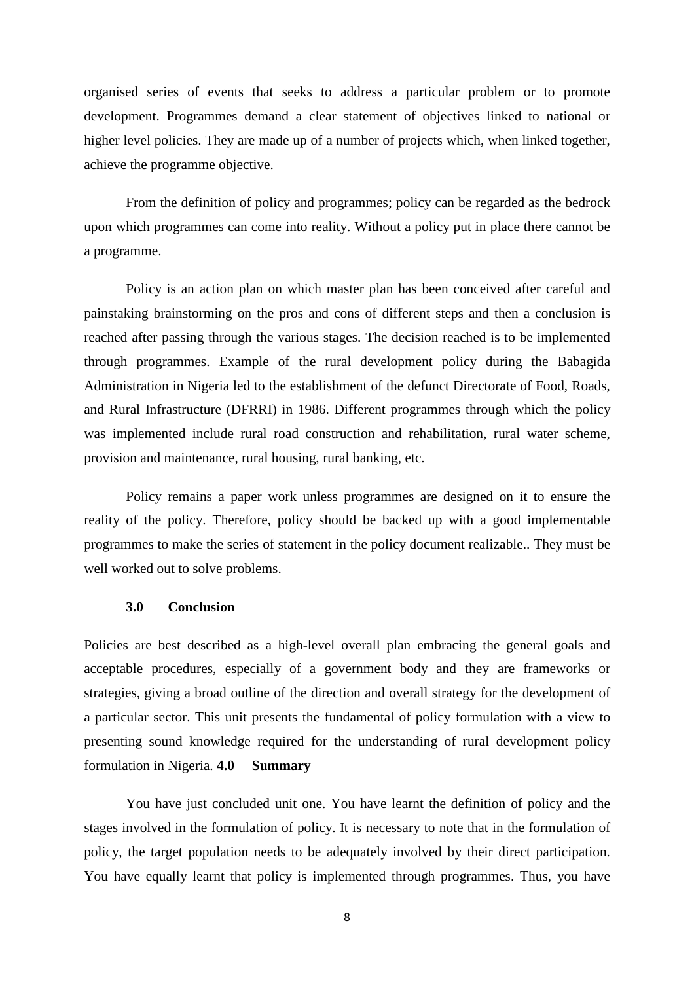organised series of events that seeks to address a particular problem or to promote development. Programmes demand a clear statement of objectives linked to national or higher level policies. They are made up of a number of projects which, when linked together, achieve the programme objective.

From the definition of policy and programmes; policy can be regarded as the bedrock upon which programmes can come into reality. Without a policy put in place there cannot be a programme.

Policy is an action plan on which master plan has been conceived after careful and painstaking brainstorming on the pros and cons of different steps and then a conclusion is reached after passing through the various stages. The decision reached is to be implemented through programmes. Example of the rural development policy during the Babagida Administration in Nigeria led to the establishment of the defunct Directorate of Food, Roads, and Rural Infrastructure (DFRRI) in 1986. Different programmes through which the policy was implemented include rural road construction and rehabilitation, rural water scheme, provision and maintenance, rural housing, rural banking, etc.

Policy remains a paper work unless programmes are designed on it to ensure the reality of the policy. Therefore, policy should be backed up with a good implementable programmes to make the series of statement in the policy document realizable.. They must be well worked out to solve problems.

#### **3.0 Conclusion**

Policies are best described as a high-level overall plan embracing the general goals and acceptable procedures, especially of a government body and they are frameworks or strategies, giving a broad outline of the direction and overall strategy for the development of a particular sector. This unit presents the fundamental of policy formulation with a view to presenting sound knowledge required for the understanding of rural development policy formulation in Nigeria. **4.0 Summary** 

You have just concluded unit one. You have learnt the definition of policy and the stages involved in the formulation of policy. It is necessary to note that in the formulation of policy, the target population needs to be adequately involved by their direct participation. You have equally learnt that policy is implemented through programmes. Thus, you have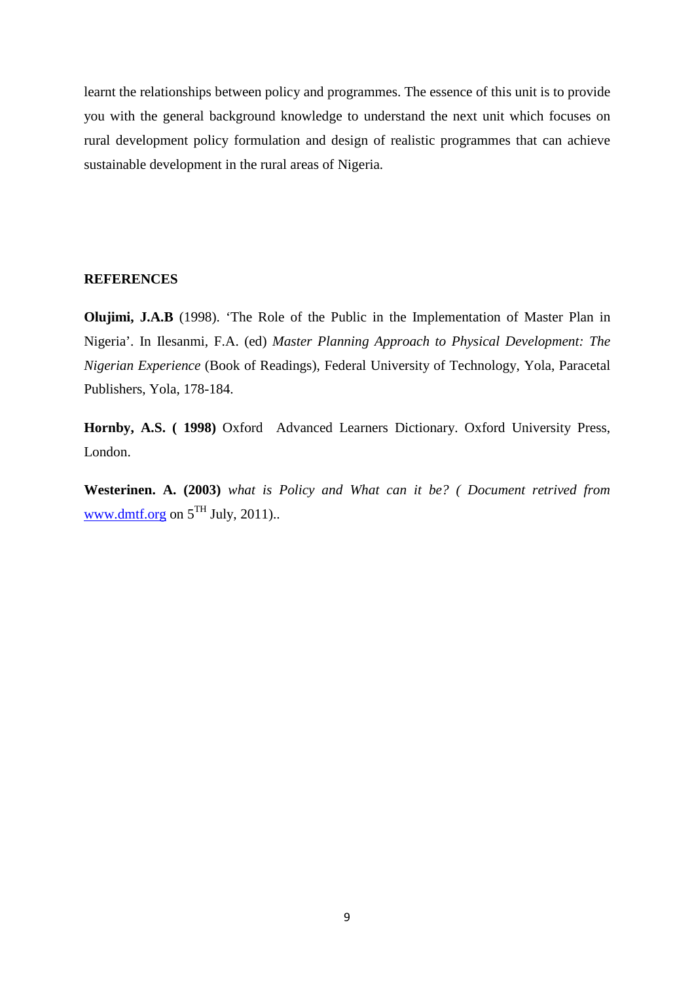learnt the relationships between policy and programmes. The essence of this unit is to provide you with the general background knowledge to understand the next unit which focuses on rural development policy formulation and design of realistic programmes that can achieve sustainable development in the rural areas of Nigeria.

#### **REFERENCES**

**Olujimi, J.A.B** (1998). 'The Role of the Public in the Implementation of Master Plan in Nigeria'. In Ilesanmi, F.A. (ed) *Master Planning Approach to Physical Development: The Nigerian Experience* (Book of Readings), Federal University of Technology, Yola, Paracetal Publishers, Yola, 178-184.

**Hornby, A.S. ( 1998)** Oxford Advanced Learners Dictionary. Oxford University Press, London.

**Westerinen. A. (2003)** *what is Policy and What can it be? ( Document retrived from*  www.dmtf.org on  $5^{TH}$  July, 2011)..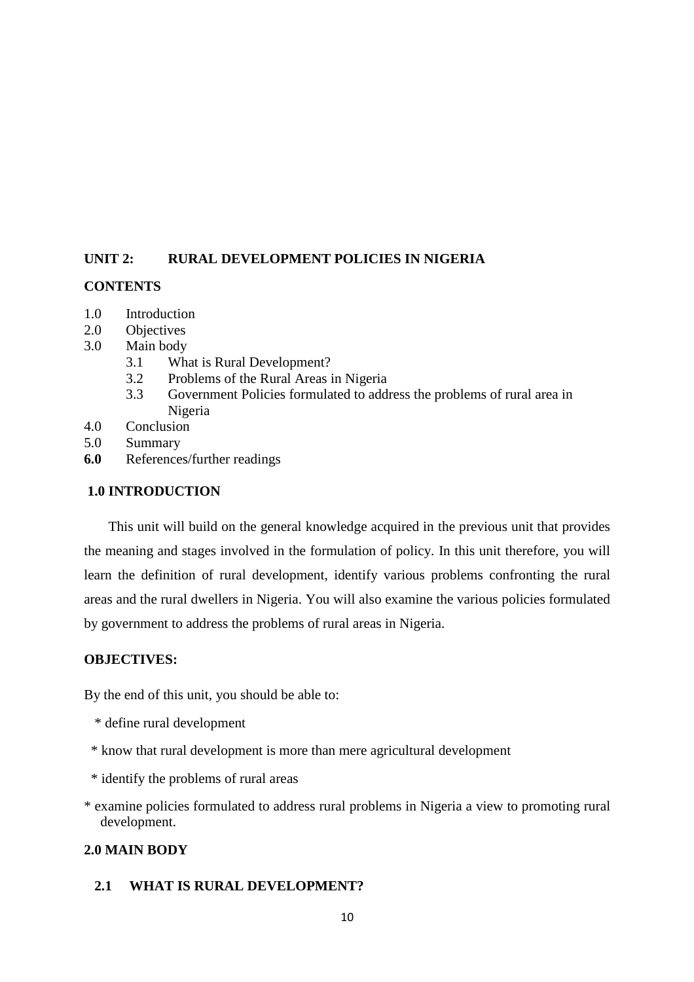# **UNIT 2: RURAL DEVELOPMENT POLICIES IN NIGERIA**

### **CONTENTS**

- 1.0 Introduction
- 2.0 Objectives<br>3.0 Main body
- Main body
	- 3.1 What is Rural Development?
	- 3.2 Problems of the Rural Areas in Nigeria
	- 3.3 Government Policies formulated to address the problems of rural area in Nigeria
- 4.0 Conclusion
- 5.0 Summary
- **6.0** References/further readings

### **1.0 INTRODUCTION**

This unit will build on the general knowledge acquired in the previous unit that provides the meaning and stages involved in the formulation of policy. In this unit therefore, you will learn the definition of rural development, identify various problems confronting the rural areas and the rural dwellers in Nigeria. You will also examine the various policies formulated by government to address the problems of rural areas in Nigeria.

# **OBJECTIVES:**

By the end of this unit, you should be able to:

- \* define rural development
- \* know that rural development is more than mere agricultural development
- \* identify the problems of rural areas
- \* examine policies formulated to address rural problems in Nigeria a view to promoting rural development.

# **2.0 MAIN BODY**

# **2.1 WHAT IS RURAL DEVELOPMENT?**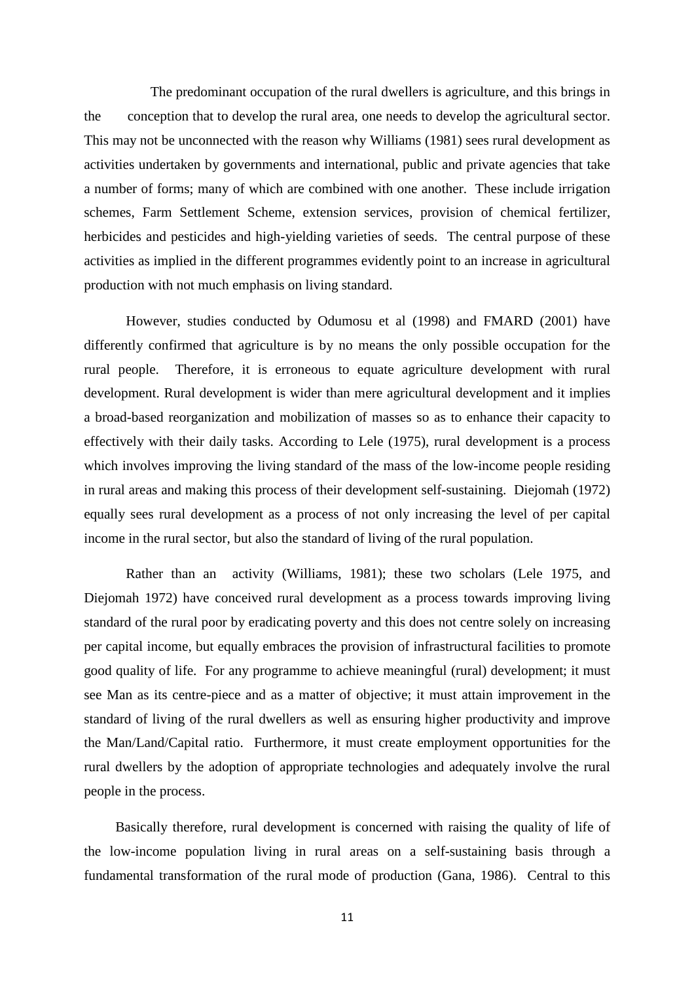The predominant occupation of the rural dwellers is agriculture, and this brings in the conception that to develop the rural area, one needs to develop the agricultural sector. This may not be unconnected with the reason why Williams (1981) sees rural development as activities undertaken by governments and international, public and private agencies that take a number of forms; many of which are combined with one another. These include irrigation schemes, Farm Settlement Scheme, extension services, provision of chemical fertilizer, herbicides and pesticides and high-yielding varieties of seeds. The central purpose of these activities as implied in the different programmes evidently point to an increase in agricultural production with not much emphasis on living standard.

 However, studies conducted by Odumosu et al (1998) and FMARD (2001) have differently confirmed that agriculture is by no means the only possible occupation for the rural people. Therefore, it is erroneous to equate agriculture development with rural development. Rural development is wider than mere agricultural development and it implies a broad-based reorganization and mobilization of masses so as to enhance their capacity to effectively with their daily tasks. According to Lele (1975), rural development is a process which involves improving the living standard of the mass of the low-income people residing in rural areas and making this process of their development self-sustaining. Diejomah (1972) equally sees rural development as a process of not only increasing the level of per capital income in the rural sector, but also the standard of living of the rural population.

 Rather than an activity (Williams, 1981); these two scholars (Lele 1975, and Diejomah 1972) have conceived rural development as a process towards improving living standard of the rural poor by eradicating poverty and this does not centre solely on increasing per capital income, but equally embraces the provision of infrastructural facilities to promote good quality of life. For any programme to achieve meaningful (rural) development; it must see Man as its centre-piece and as a matter of objective; it must attain improvement in the standard of living of the rural dwellers as well as ensuring higher productivity and improve the Man/Land/Capital ratio. Furthermore, it must create employment opportunities for the rural dwellers by the adoption of appropriate technologies and adequately involve the rural people in the process.

 Basically therefore, rural development is concerned with raising the quality of life of the low-income population living in rural areas on a self-sustaining basis through a fundamental transformation of the rural mode of production (Gana, 1986). Central to this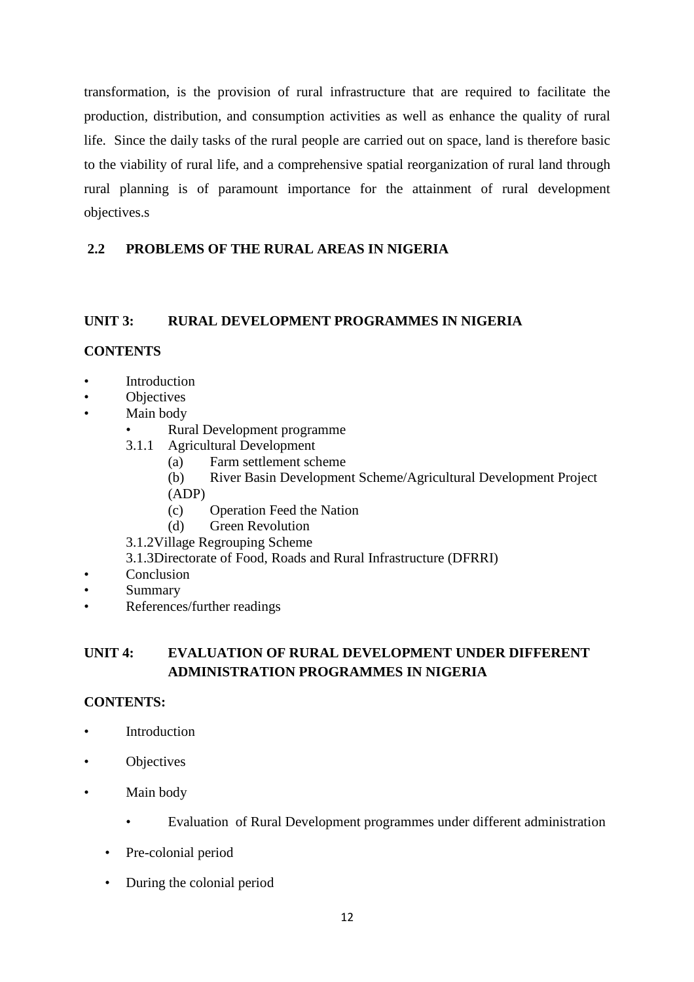transformation, is the provision of rural infrastructure that are required to facilitate the production, distribution, and consumption activities as well as enhance the quality of rural life. Since the daily tasks of the rural people are carried out on space, land is therefore basic to the viability of rural life, and a comprehensive spatial reorganization of rural land through rural planning is of paramount importance for the attainment of rural development objectives.s

# **2.2 PROBLEMS OF THE RURAL AREAS IN NIGERIA**

### **UNIT 3: RURAL DEVELOPMENT PROGRAMMES IN NIGERIA**

### **CONTENTS**

- **Introduction**
- **Objectives**
- Main body
	- Rural Development programme
	- 3.1.1 Agricultural Development
		- (a) Farm settlement scheme
		- (b) River Basin Development Scheme/Agricultural Development Project
		- (ADP)
		- (c) Operation Feed the Nation
		- (d) Green Revolution
	- 3.1.2Village Regrouping Scheme
	- 3.1.3Directorate of Food, Roads and Rural Infrastructure (DFRRI)
- Conclusion
- Summary
- References/further readings

# **UNIT 4: EVALUATION OF RURAL DEVELOPMENT UNDER DIFFERENT ADMINISTRATION PROGRAMMES IN NIGERIA**

### **CONTENTS:**

- **Introduction**
- **Objectives**
- Main body
	- Evaluation of Rural Development programmes under different administration
	- Pre-colonial period
	- During the colonial period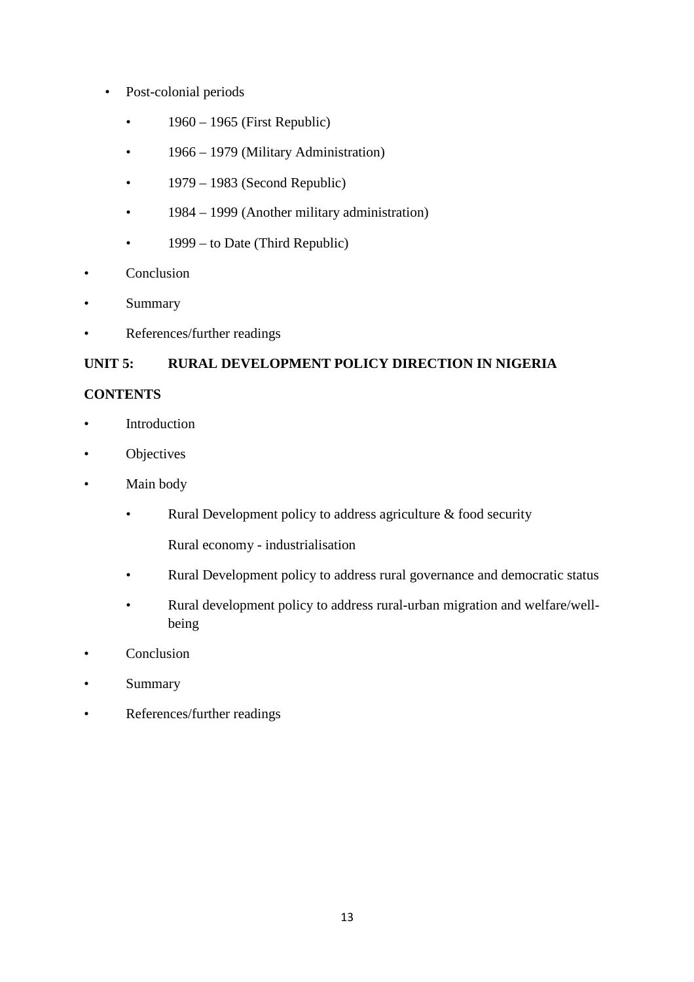- Post-colonial periods
	- 1960 1965 (First Republic)
	- 1966 1979 (Military Administration)
	- $\cdot$  1979 1983 (Second Republic)
	- 1984 1999 (Another military administration)
	- 1999 to Date (Third Republic)
- Conclusion
- **Summary**
- References/further readings

# **UNIT 5: RURAL DEVELOPMENT POLICY DIRECTION IN NIGERIA**

# **CONTENTS**

- **Introduction**
- Objectives
- Main body
	- Rural Development policy to address agriculture & food security
		- Rural economy industrialisation
	- Rural Development policy to address rural governance and democratic status
	- Rural development policy to address rural-urban migration and welfare/wellbeing
- Conclusion
- **Summary**
- References/further readings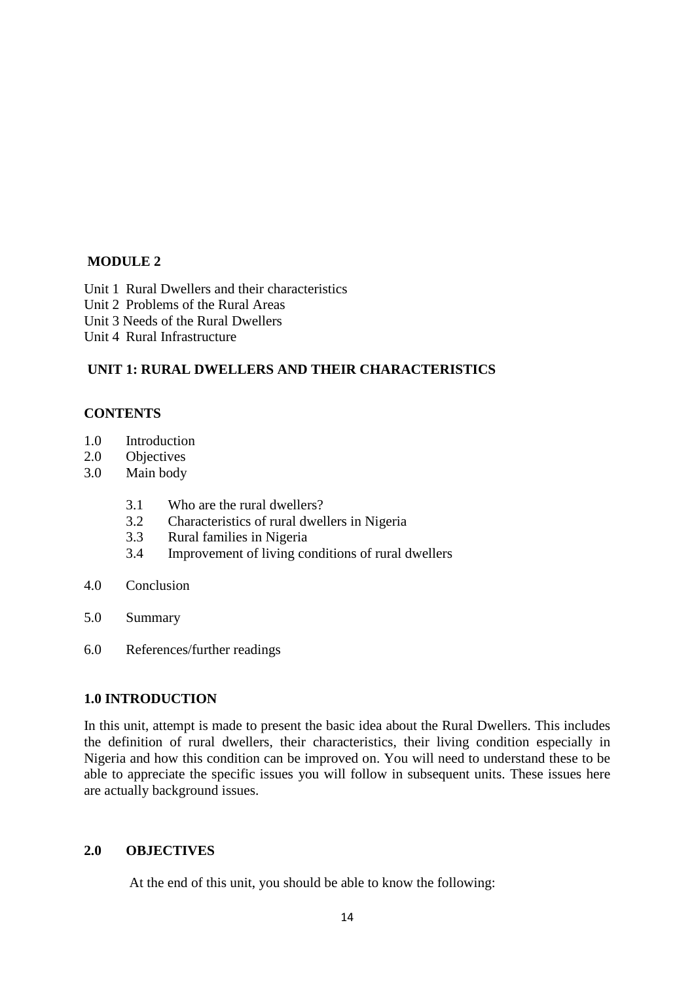### **MODULE 2**

Unit 1 Rural Dwellers and their characteristics Unit 2 Problems of the Rural Areas Unit 3 Needs of the Rural Dwellers Unit 4 Rural Infrastructure

# **UNIT 1: RURAL DWELLERS AND THEIR CHARACTERISTICS**

### **CONTENTS**

- 1.0 Introduction
- 2.0 Objectives
- 3.0 Main body
	- 3.1 Who are the rural dwellers?
	- 3.2 Characteristics of rural dwellers in Nigeria
	- 3.3 Rural families in Nigeria
	- 3.4 Improvement of living conditions of rural dwellers
- 4.0 Conclusion
- 5.0 Summary
- 6.0 References/further readings

### **1.0 INTRODUCTION**

In this unit, attempt is made to present the basic idea about the Rural Dwellers. This includes the definition of rural dwellers, their characteristics, their living condition especially in Nigeria and how this condition can be improved on. You will need to understand these to be able to appreciate the specific issues you will follow in subsequent units. These issues here are actually background issues.

# **2.0 OBJECTIVES**

At the end of this unit, you should be able to know the following: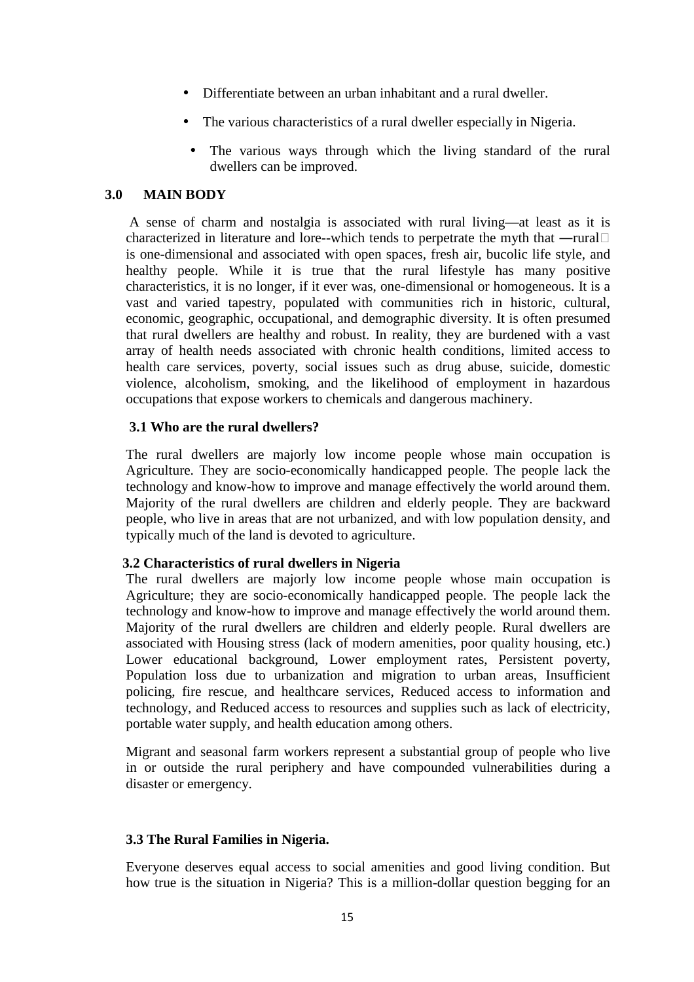- Differentiate between an urban inhabitant and a rural dweller.
- The various characteristics of a rural dweller especially in Nigeria.
- The various ways through which the living standard of the rural dwellers can be improved.

### **3.0 MAIN BODY**

A sense of charm and nostalgia is associated with rural living—at least as it is characterized in literature and lore--which tends to perpetrate the myth that —rural is one-dimensional and associated with open spaces, fresh air, bucolic life style, and healthy people. While it is true that the rural lifestyle has many positive characteristics, it is no longer, if it ever was, one-dimensional or homogeneous. It is a vast and varied tapestry, populated with communities rich in historic, cultural, economic, geographic, occupational, and demographic diversity. It is often presumed that rural dwellers are healthy and robust. In reality, they are burdened with a vast array of health needs associated with chronic health conditions, limited access to health care services, poverty, social issues such as drug abuse, suicide, domestic violence, alcoholism, smoking, and the likelihood of employment in hazardous occupations that expose workers to chemicals and dangerous machinery.

### **3.1 Who are the rural dwellers?**

The rural dwellers are majorly low income people whose main occupation is Agriculture. They are socio-economically handicapped people. The people lack the technology and know-how to improve and manage effectively the world around them. Majority of the rural dwellers are children and elderly people. They are backward people, who live in areas that are not urbanized, and with low population density, and typically much of the land is devoted to agriculture.

### **3.2 Characteristics of rural dwellers in Nigeria**

The rural dwellers are majorly low income people whose main occupation is Agriculture; they are socio-economically handicapped people. The people lack the technology and know-how to improve and manage effectively the world around them. Majority of the rural dwellers are children and elderly people. Rural dwellers are associated with Housing stress (lack of modern amenities, poor quality housing, etc.) Lower educational background, Lower employment rates, Persistent poverty, Population loss due to urbanization and migration to urban areas, Insufficient policing, fire rescue, and healthcare services, Reduced access to information and technology, and Reduced access to resources and supplies such as lack of electricity, portable water supply, and health education among others.

Migrant and seasonal farm workers represent a substantial group of people who live in or outside the rural periphery and have compounded vulnerabilities during a disaster or emergency.

### **3.3 The Rural Families in Nigeria.**

Everyone deserves equal access to social amenities and good living condition. But how true is the situation in Nigeria? This is a million-dollar question begging for an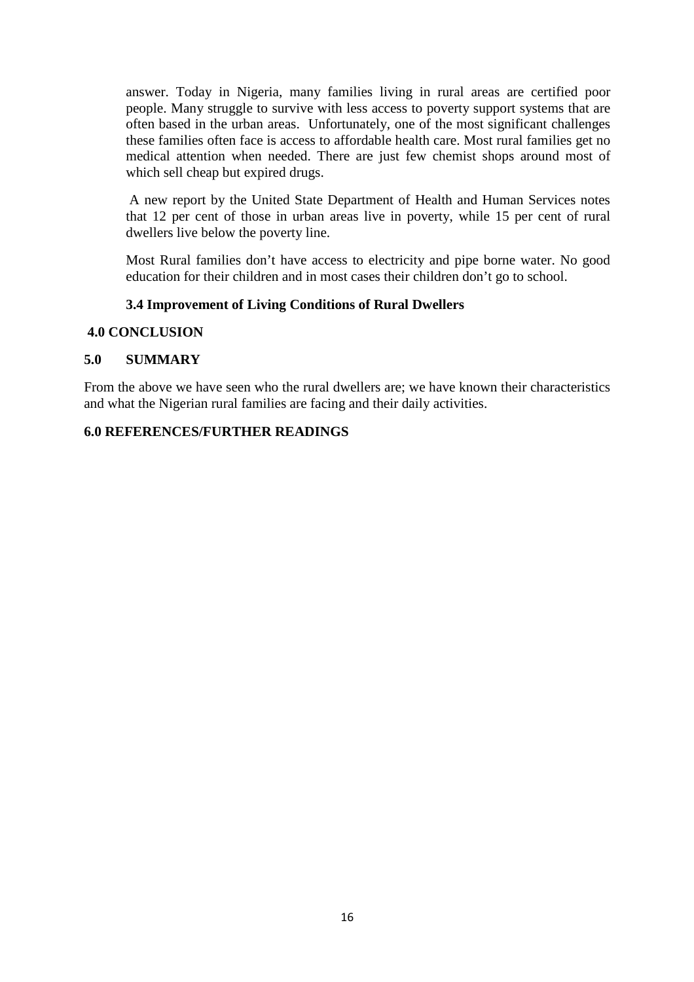answer. Today in Nigeria, many families living in rural areas are certified poor people. Many struggle to survive with less access to poverty support systems that are often based in the urban areas. Unfortunately, one of the most significant challenges these families often face is access to affordable health care. Most rural families get no medical attention when needed. There are just few chemist shops around most of which sell cheap but expired drugs.

 A new report by the United State Department of Health and Human Services notes that 12 per cent of those in urban areas live in poverty, while 15 per cent of rural dwellers live below the poverty line.

Most Rural families don't have access to electricity and pipe borne water. No good education for their children and in most cases their children don't go to school.

### **3.4 Improvement of Living Conditions of Rural Dwellers**

#### **4.0 CONCLUSION**

### **5.0 SUMMARY**

From the above we have seen who the rural dwellers are; we have known their characteristics and what the Nigerian rural families are facing and their daily activities.

### **6.0 REFERENCES/FURTHER READINGS**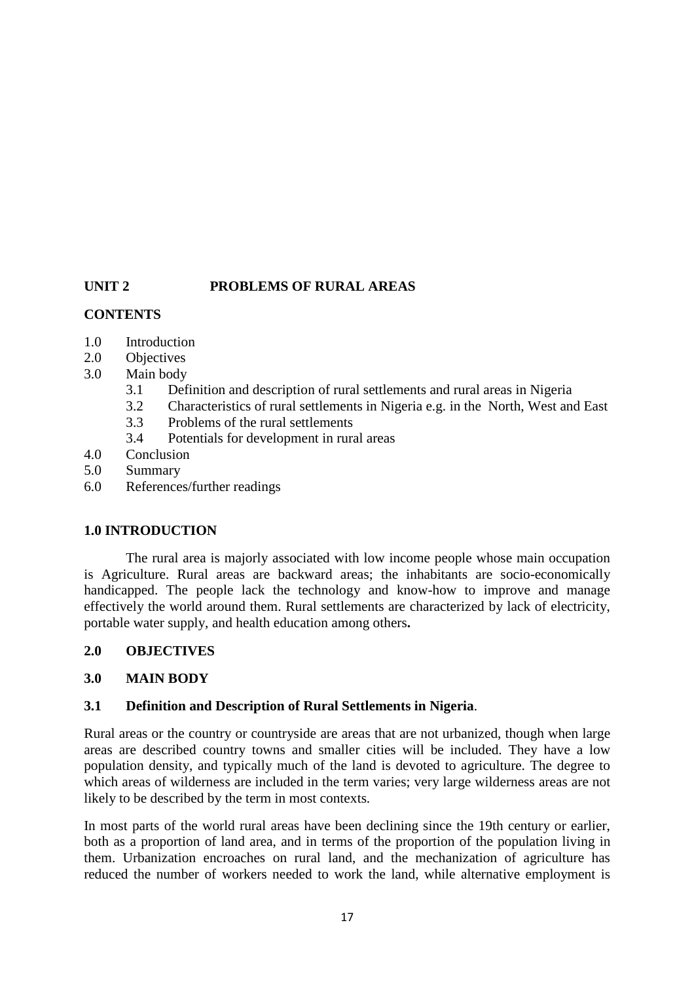# **UNIT 2 PROBLEMS OF RURAL AREAS**

# **CONTENTS**

- 1.0 Introduction
- 2.0 Objectives
- 3.0 Main body
	- 3.1 Definition and description of rural settlements and rural areas in Nigeria
	- 3.2 Characteristics of rural settlements in Nigeria e.g. in the North, West and East
	- 3.3 Problems of the rural settlements
	- 3.4 Potentials for development in rural areas
- 4.0 Conclusion
- 5.0 Summary
- 6.0 References/further readings

# **1.0 INTRODUCTION**

 The rural area is majorly associated with low income people whose main occupation is Agriculture. Rural areas are backward areas; the inhabitants are socio-economically handicapped. The people lack the technology and know-how to improve and manage effectively the world around them. Rural settlements are characterized by lack of electricity, portable water supply, and health education among others**.** 

# **2.0 OBJECTIVES**

# **3.0 MAIN BODY**

# **3.1 Definition and Description of Rural Settlements in Nigeria**.

Rural areas or the country or countryside are areas that are not urbanized, though when large areas are described country towns and smaller cities will be included. They have a low population density, and typically much of the land is devoted to agriculture. The degree to which areas of wilderness are included in the term varies; very large wilderness areas are not likely to be described by the term in most contexts.

In most parts of the world rural areas have been declining since the 19th century or earlier, both as a proportion of land area, and in terms of the proportion of the population living in them. Urbanization encroaches on rural land, and the mechanization of agriculture has reduced the number of workers needed to work the land, while alternative employment is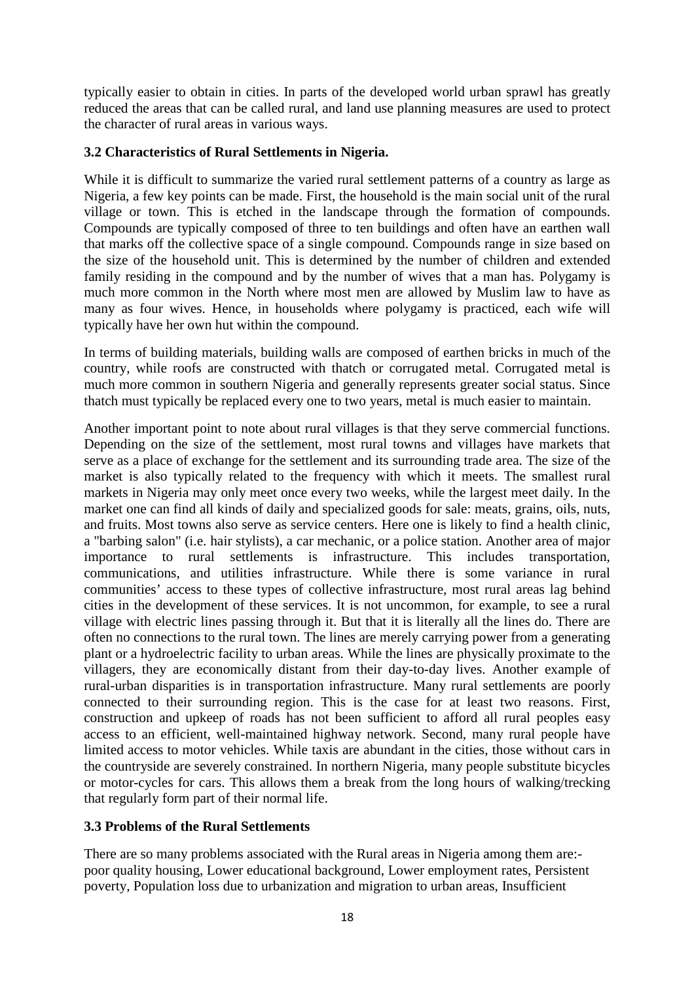typically easier to obtain in cities. In parts of the developed world urban sprawl has greatly reduced the areas that can be called rural, and land use planning measures are used to protect the character of rural areas in various ways.

### **3.2 Characteristics of Rural Settlements in Nigeria.**

While it is difficult to summarize the varied rural settlement patterns of a country as large as Nigeria, a few key points can be made. First, the household is the main social unit of the rural village or town. This is etched in the landscape through the formation of compounds. Compounds are typically composed of three to ten buildings and often have an earthen wall that marks off the collective space of a single compound. Compounds range in size based on the size of the household unit. This is determined by the number of children and extended family residing in the compound and by the number of wives that a man has. Polygamy is much more common in the North where most men are allowed by Muslim law to have as many as four wives. Hence, in households where polygamy is practiced, each wife will typically have her own hut within the compound.

In terms of building materials, building walls are composed of earthen bricks in much of the country, while roofs are constructed with thatch or corrugated metal. Corrugated metal is much more common in southern Nigeria and generally represents greater social status. Since thatch must typically be replaced every one to two years, metal is much easier to maintain.

Another important point to note about rural villages is that they serve commercial functions. Depending on the size of the settlement, most rural towns and villages have markets that serve as a place of exchange for the settlement and its surrounding trade area. The size of the market is also typically related to the frequency with which it meets. The smallest rural markets in Nigeria may only meet once every two weeks, while the largest meet daily. In the market one can find all kinds of daily and specialized goods for sale: meats, grains, oils, nuts, and fruits. Most towns also serve as service centers. Here one is likely to find a health clinic, a "barbing salon" (i.e. hair stylists), a car mechanic, or a police station. Another area of major importance to rural settlements is infrastructure. This includes transportation, communications, and utilities infrastructure. While there is some variance in rural communities' access to these types of collective infrastructure, most rural areas lag behind cities in the development of these services. It is not uncommon, for example, to see a rural village with electric lines passing through it. But that it is literally all the lines do. There are often no connections to the rural town. The lines are merely carrying power from a generating plant or a hydroelectric facility to urban areas. While the lines are physically proximate to the villagers, they are economically distant from their day-to-day lives. Another example of rural-urban disparities is in transportation infrastructure. Many rural settlements are poorly connected to their surrounding region. This is the case for at least two reasons. First, construction and upkeep of roads has not been sufficient to afford all rural peoples easy access to an efficient, well-maintained highway network. Second, many rural people have limited access to motor vehicles. While taxis are abundant in the cities, those without cars in the countryside are severely constrained. In northern Nigeria, many people substitute bicycles or motor-cycles for cars. This allows them a break from the long hours of walking/trecking that regularly form part of their normal life.

# **3.3 Problems of the Rural Settlements**

There are so many problems associated with the Rural areas in Nigeria among them are: poor quality housing, Lower educational background, Lower employment rates, Persistent poverty, Population loss due to urbanization and migration to urban areas, Insufficient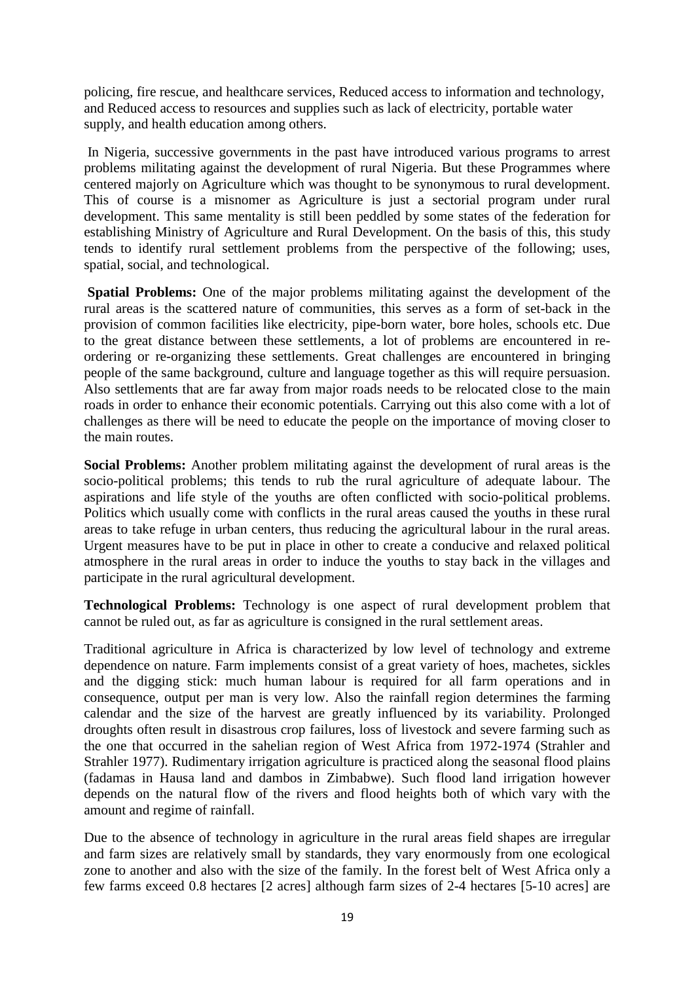policing, fire rescue, and healthcare services, Reduced access to information and technology, and Reduced access to resources and supplies such as lack of electricity, portable water supply, and health education among others.

 In Nigeria, successive governments in the past have introduced various programs to arrest problems militating against the development of rural Nigeria. But these Programmes where centered majorly on Agriculture which was thought to be synonymous to rural development. This of course is a misnomer as Agriculture is just a sectorial program under rural development. This same mentality is still been peddled by some states of the federation for establishing Ministry of Agriculture and Rural Development. On the basis of this, this study tends to identify rural settlement problems from the perspective of the following; uses, spatial, social, and technological.

**Spatial Problems:** One of the major problems militating against the development of the rural areas is the scattered nature of communities, this serves as a form of set-back in the provision of common facilities like electricity, pipe-born water, bore holes, schools etc. Due to the great distance between these settlements, a lot of problems are encountered in reordering or re-organizing these settlements. Great challenges are encountered in bringing people of the same background, culture and language together as this will require persuasion. Also settlements that are far away from major roads needs to be relocated close to the main roads in order to enhance their economic potentials. Carrying out this also come with a lot of challenges as there will be need to educate the people on the importance of moving closer to the main routes.

**Social Problems:** Another problem militating against the development of rural areas is the socio-political problems; this tends to rub the rural agriculture of adequate labour. The aspirations and life style of the youths are often conflicted with socio-political problems. Politics which usually come with conflicts in the rural areas caused the youths in these rural areas to take refuge in urban centers, thus reducing the agricultural labour in the rural areas. Urgent measures have to be put in place in other to create a conducive and relaxed political atmosphere in the rural areas in order to induce the youths to stay back in the villages and participate in the rural agricultural development.

**Technological Problems:** Technology is one aspect of rural development problem that cannot be ruled out, as far as agriculture is consigned in the rural settlement areas.

Traditional agriculture in Africa is characterized by low level of technology and extreme dependence on nature. Farm implements consist of a great variety of hoes, machetes, sickles and the digging stick: much human labour is required for all farm operations and in consequence, output per man is very low. Also the rainfall region determines the farming calendar and the size of the harvest are greatly influenced by its variability. Prolonged droughts often result in disastrous crop failures, loss of livestock and severe farming such as the one that occurred in the sahelian region of West Africa from 1972-1974 (Strahler and Strahler 1977). Rudimentary irrigation agriculture is practiced along the seasonal flood plains (fadamas in Hausa land and dambos in Zimbabwe). Such flood land irrigation however depends on the natural flow of the rivers and flood heights both of which vary with the amount and regime of rainfall.

Due to the absence of technology in agriculture in the rural areas field shapes are irregular and farm sizes are relatively small by standards, they vary enormously from one ecological zone to another and also with the size of the family. In the forest belt of West Africa only a few farms exceed 0.8 hectares [2 acres] although farm sizes of 2-4 hectares [5-10 acres] are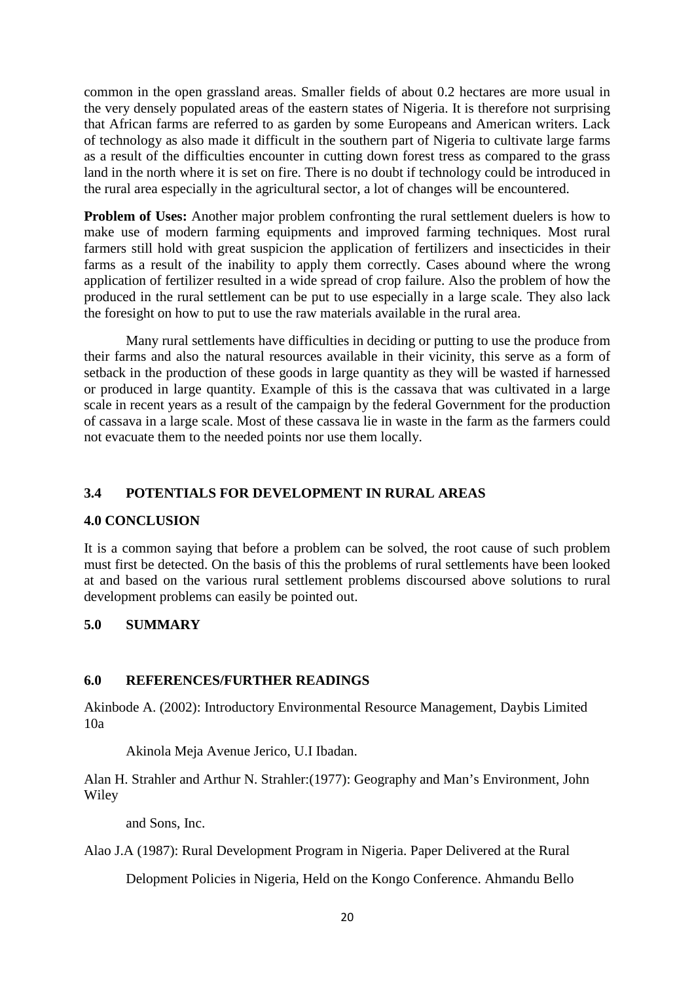common in the open grassland areas. Smaller fields of about 0.2 hectares are more usual in the very densely populated areas of the eastern states of Nigeria. It is therefore not surprising that African farms are referred to as garden by some Europeans and American writers. Lack of technology as also made it difficult in the southern part of Nigeria to cultivate large farms as a result of the difficulties encounter in cutting down forest tress as compared to the grass land in the north where it is set on fire. There is no doubt if technology could be introduced in the rural area especially in the agricultural sector, a lot of changes will be encountered.

**Problem of Uses:** Another major problem confronting the rural settlement duelers is how to make use of modern farming equipments and improved farming techniques. Most rural farmers still hold with great suspicion the application of fertilizers and insecticides in their farms as a result of the inability to apply them correctly. Cases abound where the wrong application of fertilizer resulted in a wide spread of crop failure. Also the problem of how the produced in the rural settlement can be put to use especially in a large scale. They also lack the foresight on how to put to use the raw materials available in the rural area.

 Many rural settlements have difficulties in deciding or putting to use the produce from their farms and also the natural resources available in their vicinity, this serve as a form of setback in the production of these goods in large quantity as they will be wasted if harnessed or produced in large quantity. Example of this is the cassava that was cultivated in a large scale in recent years as a result of the campaign by the federal Government for the production of cassava in a large scale. Most of these cassava lie in waste in the farm as the farmers could not evacuate them to the needed points nor use them locally.

# **3.4 POTENTIALS FOR DEVELOPMENT IN RURAL AREAS**

### **4.0 CONCLUSION**

It is a common saying that before a problem can be solved, the root cause of such problem must first be detected. On the basis of this the problems of rural settlements have been looked at and based on the various rural settlement problems discoursed above solutions to rural development problems can easily be pointed out.

### **5.0 SUMMARY**

### **6.0 REFERENCES/FURTHER READINGS**

Akinbode A. (2002): Introductory Environmental Resource Management, Daybis Limited 10a

Akinola Meja Avenue Jerico, U.I Ibadan.

Alan H. Strahler and Arthur N. Strahler:(1977): Geography and Man's Environment, John Wiley

and Sons, Inc.

Alao J.A (1987): Rural Development Program in Nigeria. Paper Delivered at the Rural

Delopment Policies in Nigeria, Held on the Kongo Conference. Ahmandu Bello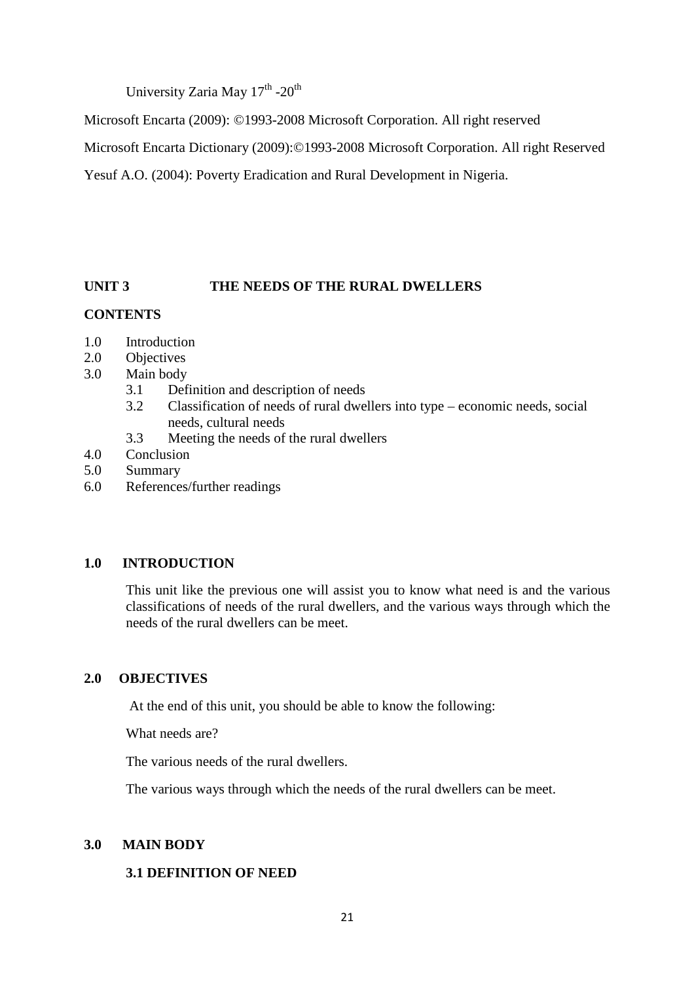University Zaria May 17<sup>th</sup> -20<sup>th</sup>

Microsoft Encarta (2009): ©1993-2008 Microsoft Corporation. All right reserved

Microsoft Encarta Dictionary (2009):©1993-2008 Microsoft Corporation. All right Reserved

Yesuf A.O. (2004): Poverty Eradication and Rural Development in Nigeria.

# **UNIT 3 THE NEEDS OF THE RURAL DWELLERS**

# **CONTENTS**

- 1.0 Introduction
- 2.0 Objectives
- 3.0 Main body
	- 3.1 Definition and description of needs
	- 3.2 Classification of needs of rural dwellers into type economic needs, social needs, cultural needs
	- 3.3 Meeting the needs of the rural dwellers
- 4.0 Conclusion
- 5.0 Summary
- 6.0 References/further readings

# **1.0 INTRODUCTION**

This unit like the previous one will assist you to know what need is and the various classifications of needs of the rural dwellers, and the various ways through which the needs of the rural dwellers can be meet.

# **2.0 OBJECTIVES**

At the end of this unit, you should be able to know the following:

What needs are?

The various needs of the rural dwellers.

The various ways through which the needs of the rural dwellers can be meet.

# **3.0 MAIN BODY**

# **3.1 DEFINITION OF NEED**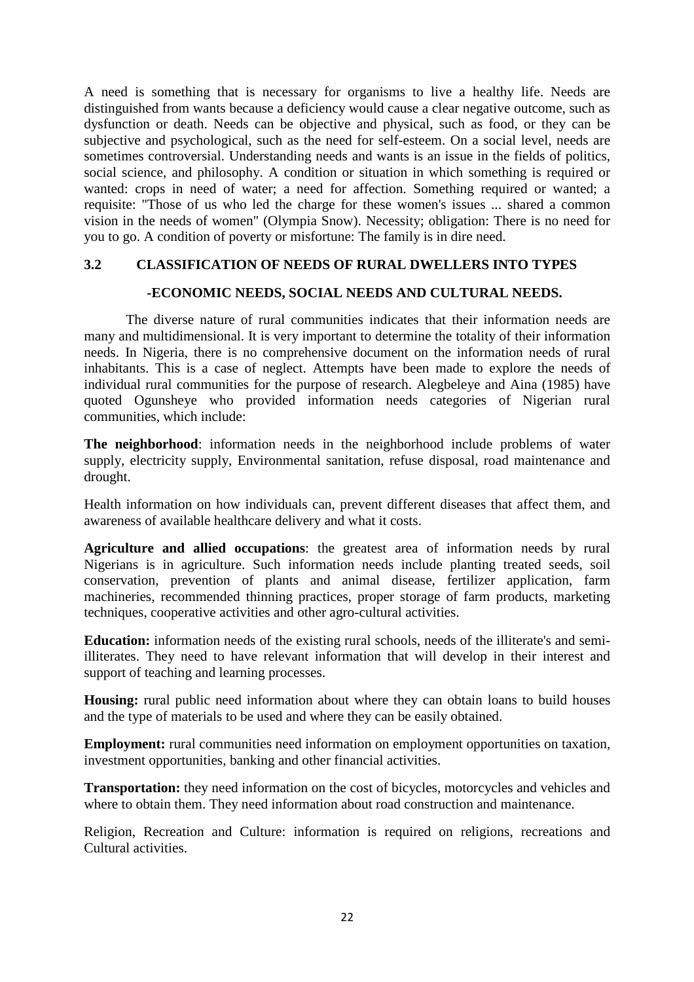A need is something that is necessary for organisms to live a healthy life. Needs are distinguished from wants because a deficiency would cause a clear negative outcome, such as dysfunction or death. Needs can be objective and physical, such as food, or they can be subjective and psychological, such as the need for self-esteem. On a social level, needs are sometimes controversial. Understanding needs and wants is an issue in the fields of politics, social science, and philosophy. A condition or situation in which something is required or wanted: crops in need of water; a need for affection. Something required or wanted; a requisite: "Those of us who led the charge for these women's issues ... shared a common vision in the needs of women" (Olympia Snow). Necessity; obligation: There is no need for you to go. A condition of poverty or misfortune: The family is in dire need.

# **3.2 CLASSIFICATION OF NEEDS OF RURAL DWELLERS INTO TYPES**

### **-ECONOMIC NEEDS, SOCIAL NEEDS AND CULTURAL NEEDS.**

The diverse nature of rural communities indicates that their information needs are many and multidimensional. It is very important to determine the totality of their information needs. In Nigeria, there is no comprehensive document on the information needs of rural inhabitants. This is a case of neglect. Attempts have been made to explore the needs of individual rural communities for the purpose of research. Alegbeleye and Aina (1985) have quoted Ogunsheye who provided information needs categories of Nigerian rural communities, which include:

**The neighborhood**: information needs in the neighborhood include problems of water supply, electricity supply, Environmental sanitation, refuse disposal, road maintenance and drought.

Health information on how individuals can, prevent different diseases that affect them, and awareness of available healthcare delivery and what it costs.

**Agriculture and allied occupations**: the greatest area of information needs by rural Nigerians is in agriculture. Such information needs include planting treated seeds, soil conservation, prevention of plants and animal disease, fertilizer application, farm machineries, recommended thinning practices, proper storage of farm products, marketing techniques, cooperative activities and other agro-cultural activities.

**Education:** information needs of the existing rural schools, needs of the illiterate's and semiilliterates. They need to have relevant information that will develop in their interest and support of teaching and learning processes.

**Housing:** rural public need information about where they can obtain loans to build houses and the type of materials to be used and where they can be easily obtained.

**Employment:** rural communities need information on employment opportunities on taxation, investment opportunities, banking and other financial activities.

**Transportation:** they need information on the cost of bicycles, motorcycles and vehicles and where to obtain them. They need information about road construction and maintenance.

Religion, Recreation and Culture: information is required on religions, recreations and Cultural activities.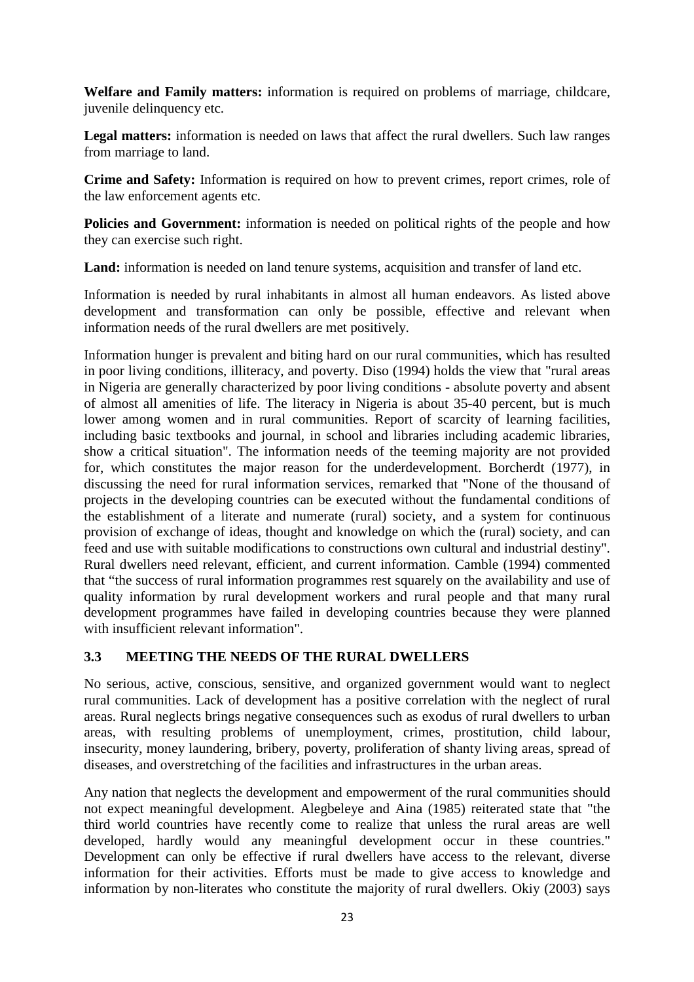**Welfare and Family matters:** information is required on problems of marriage, childcare, juvenile delinquency etc.

**Legal matters:** information is needed on laws that affect the rural dwellers. Such law ranges from marriage to land.

**Crime and Safety:** Information is required on how to prevent crimes, report crimes, role of the law enforcement agents etc.

**Policies and Government:** information is needed on political rights of the people and how they can exercise such right.

**Land:** information is needed on land tenure systems, acquisition and transfer of land etc.

Information is needed by rural inhabitants in almost all human endeavors. As listed above development and transformation can only be possible, effective and relevant when information needs of the rural dwellers are met positively.

Information hunger is prevalent and biting hard on our rural communities, which has resulted in poor living conditions, illiteracy, and poverty. Diso (1994) holds the view that "rural areas in Nigeria are generally characterized by poor living conditions - absolute poverty and absent of almost all amenities of life. The literacy in Nigeria is about 35-40 percent, but is much lower among women and in rural communities. Report of scarcity of learning facilities, including basic textbooks and journal, in school and libraries including academic libraries, show a critical situation". The information needs of the teeming majority are not provided for, which constitutes the major reason for the underdevelopment. Borcherdt (1977), in discussing the need for rural information services, remarked that "None of the thousand of projects in the developing countries can be executed without the fundamental conditions of the establishment of a literate and numerate (rural) society, and a system for continuous provision of exchange of ideas, thought and knowledge on which the (rural) society, and can feed and use with suitable modifications to constructions own cultural and industrial destiny". Rural dwellers need relevant, efficient, and current information. Camble (1994) commented that "the success of rural information programmes rest squarely on the availability and use of quality information by rural development workers and rural people and that many rural development programmes have failed in developing countries because they were planned with insufficient relevant information".

# **3.3 MEETING THE NEEDS OF THE RURAL DWELLERS**

No serious, active, conscious, sensitive, and organized government would want to neglect rural communities. Lack of development has a positive correlation with the neglect of rural areas. Rural neglects brings negative consequences such as exodus of rural dwellers to urban areas, with resulting problems of unemployment, crimes, prostitution, child labour, insecurity, money laundering, bribery, poverty, proliferation of shanty living areas, spread of diseases, and overstretching of the facilities and infrastructures in the urban areas.

Any nation that neglects the development and empowerment of the rural communities should not expect meaningful development. Alegbeleye and Aina (1985) reiterated state that "the third world countries have recently come to realize that unless the rural areas are well developed, hardly would any meaningful development occur in these countries." Development can only be effective if rural dwellers have access to the relevant, diverse information for their activities. Efforts must be made to give access to knowledge and information by non-literates who constitute the majority of rural dwellers. Okiy (2003) says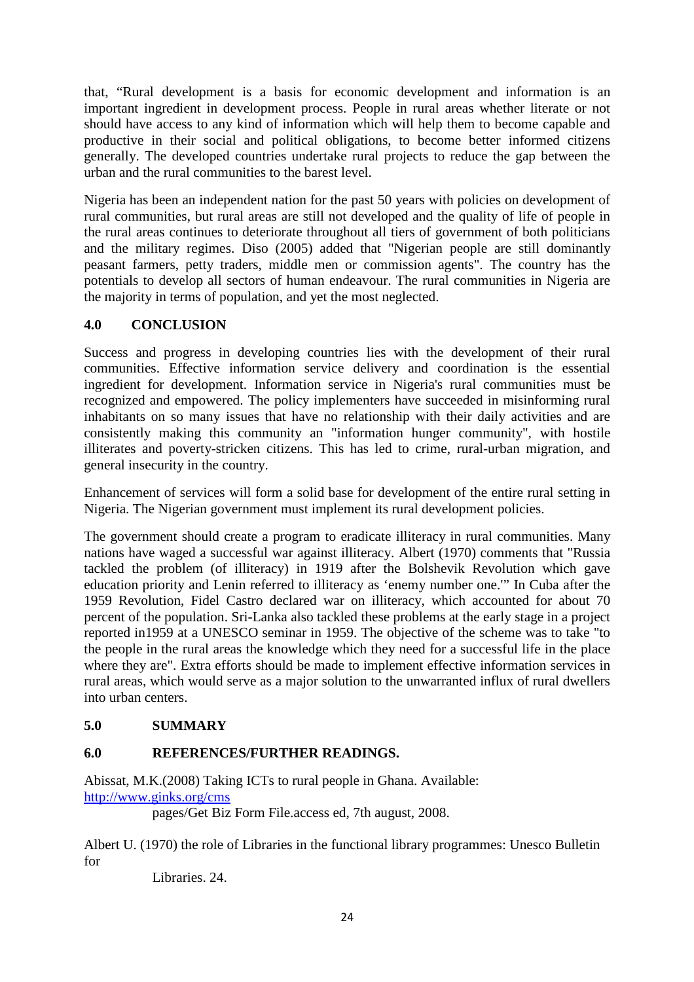that, "Rural development is a basis for economic development and information is an important ingredient in development process. People in rural areas whether literate or not should have access to any kind of information which will help them to become capable and productive in their social and political obligations, to become better informed citizens generally. The developed countries undertake rural projects to reduce the gap between the urban and the rural communities to the barest level.

Nigeria has been an independent nation for the past 50 years with policies on development of rural communities, but rural areas are still not developed and the quality of life of people in the rural areas continues to deteriorate throughout all tiers of government of both politicians and the military regimes. Diso (2005) added that "Nigerian people are still dominantly peasant farmers, petty traders, middle men or commission agents". The country has the potentials to develop all sectors of human endeavour. The rural communities in Nigeria are the majority in terms of population, and yet the most neglected.

# **4.0 CONCLUSION**

Success and progress in developing countries lies with the development of their rural communities. Effective information service delivery and coordination is the essential ingredient for development. Information service in Nigeria's rural communities must be recognized and empowered. The policy implementers have succeeded in misinforming rural inhabitants on so many issues that have no relationship with their daily activities and are consistently making this community an "information hunger community", with hostile illiterates and poverty-stricken citizens. This has led to crime, rural-urban migration, and general insecurity in the country.

Enhancement of services will form a solid base for development of the entire rural setting in Nigeria. The Nigerian government must implement its rural development policies.

The government should create a program to eradicate illiteracy in rural communities. Many nations have waged a successful war against illiteracy. Albert (1970) comments that "Russia tackled the problem (of illiteracy) in 1919 after the Bolshevik Revolution which gave education priority and Lenin referred to illiteracy as 'enemy number one.'" In Cuba after the 1959 Revolution, Fidel Castro declared war on illiteracy, which accounted for about 70 percent of the population. Sri-Lanka also tackled these problems at the early stage in a project reported in1959 at a UNESCO seminar in 1959. The objective of the scheme was to take "to the people in the rural areas the knowledge which they need for a successful life in the place where they are". Extra efforts should be made to implement effective information services in rural areas, which would serve as a major solution to the unwarranted influx of rural dwellers into urban centers.

# **5.0 SUMMARY**

# **6.0 REFERENCES/FURTHER READINGS.**

Abissat, M.K.(2008) Taking ICTs to rural people in Ghana. Available: http://www.ginks.org/cms

pages/Get Biz Form File.access ed, 7th august, 2008.

Albert U. (1970) the role of Libraries in the functional library programmes: Unesco Bulletin for

Libraries. 24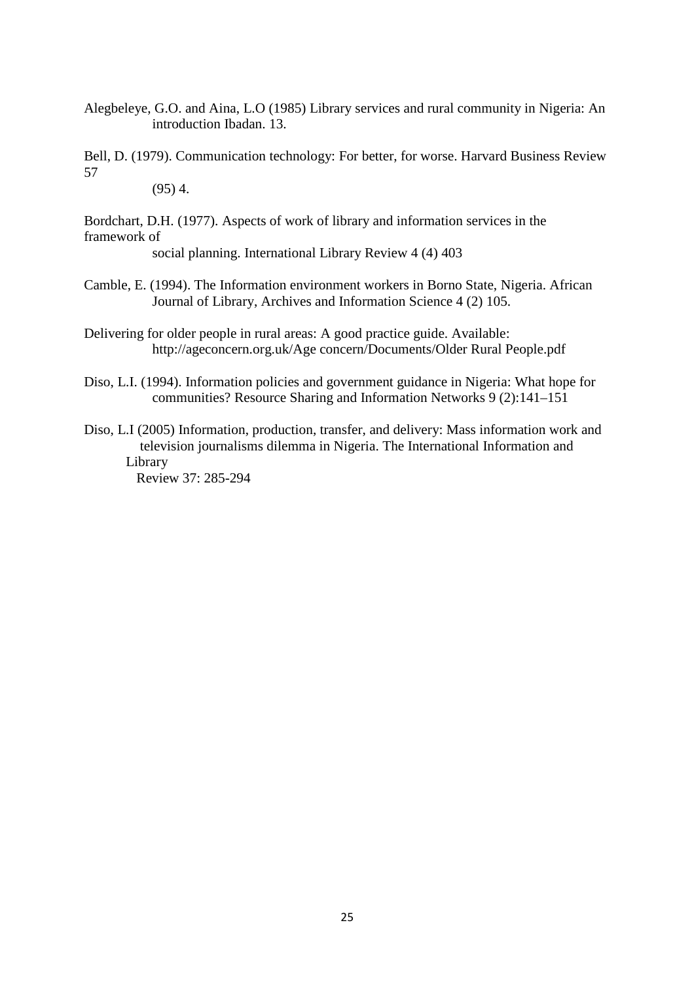Alegbeleye, G.O. and Aina, L.O (1985) Library services and rural community in Nigeria: An introduction Ibadan. 13.

Bell, D. (1979). Communication technology: For better, for worse. Harvard Business Review 57

 $(95)$  4.

Bordchart, D.H. (1977). Aspects of work of library and information services in the framework of

social planning. International Library Review 4 (4) 403

- Camble, E. (1994). The Information environment workers in Borno State, Nigeria. African Journal of Library, Archives and Information Science 4 (2) 105.
- Delivering for older people in rural areas: A good practice guide. Available: http://ageconcern.org.uk/Age concern/Documents/Older Rural People.pdf
- Diso, L.I. (1994). Information policies and government guidance in Nigeria: What hope for communities? Resource Sharing and Information Networks 9 (2):141–151
- Diso, L.I (2005) Information, production, transfer, and delivery: Mass information work and television journalisms dilemma in Nigeria. The International Information and Library

Review 37: 285-294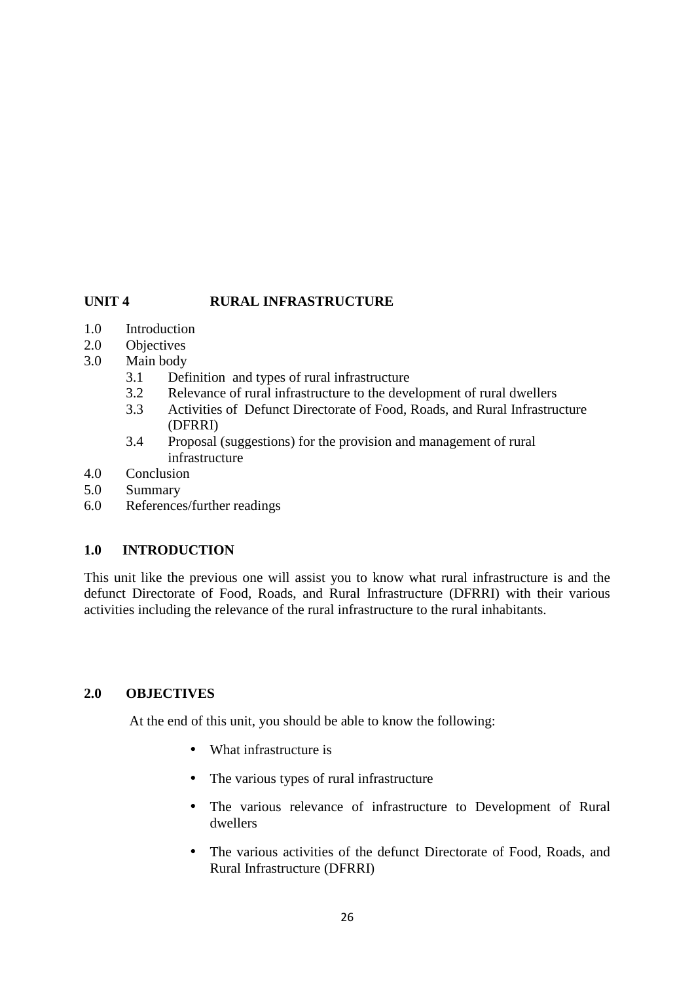### **UNIT 4 RURAL INFRASTRUCTURE**

- 1.0 Introduction
- 2.0 Objectives
- 3.0 Main body
	- 3.1 Definition and types of rural infrastructure
	- 3.2 Relevance of rural infrastructure to the development of rural dwellers
	- 3.3 Activities of Defunct Directorate of Food, Roads, and Rural Infrastructure (DFRRI)
	- 3.4 Proposal (suggestions) for the provision and management of rural infrastructure
- 4.0 Conclusion
- 5.0 Summary
- 6.0 References/further readings

# **1.0 INTRODUCTION**

This unit like the previous one will assist you to know what rural infrastructure is and the defunct Directorate of Food, Roads, and Rural Infrastructure (DFRRI) with their various activities including the relevance of the rural infrastructure to the rural inhabitants.

### **2.0 OBJECTIVES**

At the end of this unit, you should be able to know the following:

- What infrastructure is
- The various types of rural infrastructure
- The various relevance of infrastructure to Development of Rural dwellers
- The various activities of the defunct Directorate of Food, Roads, and Rural Infrastructure (DFRRI)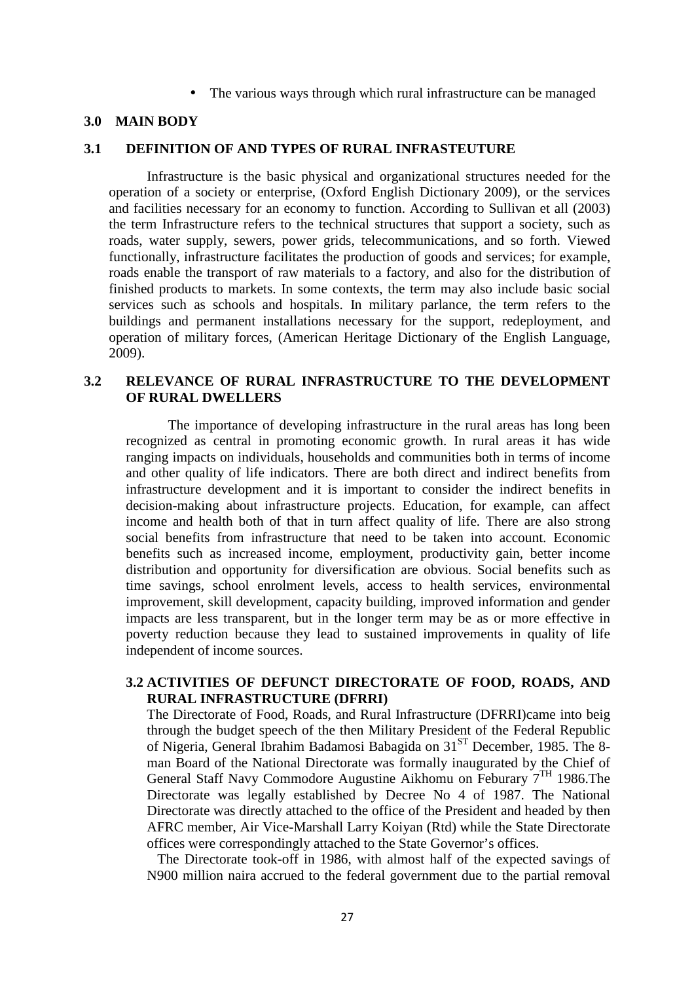• The various ways through which rural infrastructure can be managed

#### **3.0 MAIN BODY**

# **3.1 DEFINITION OF AND TYPES OF RURAL INFRASTEUTURE**

Infrastructure is the basic physical and organizational structures needed for the operation of a society or enterprise, (Oxford English Dictionary 2009), or the services and facilities necessary for an economy to function. According to Sullivan et all (2003) the term Infrastructure refers to the technical structures that support a society, such as roads, water supply, sewers, power grids, telecommunications, and so forth. Viewed functionally, infrastructure facilitates the production of goods and services; for example, roads enable the transport of raw materials to a factory, and also for the distribution of finished products to markets. In some contexts, the term may also include basic social services such as schools and hospitals. In military parlance, the term refers to the buildings and permanent installations necessary for the support, redeployment, and operation of military forces, (American Heritage Dictionary of the English Language, 2009).

### **3.2 RELEVANCE OF RURAL INFRASTRUCTURE TO THE DEVELOPMENT OF RURAL DWELLERS**

The importance of developing infrastructure in the rural areas has long been recognized as central in promoting economic growth. In rural areas it has wide ranging impacts on individuals, households and communities both in terms of income and other quality of life indicators. There are both direct and indirect benefits from infrastructure development and it is important to consider the indirect benefits in decision-making about infrastructure projects. Education, for example, can affect income and health both of that in turn affect quality of life. There are also strong social benefits from infrastructure that need to be taken into account. Economic benefits such as increased income, employment, productivity gain, better income distribution and opportunity for diversification are obvious. Social benefits such as time savings, school enrolment levels, access to health services, environmental improvement, skill development, capacity building, improved information and gender impacts are less transparent, but in the longer term may be as or more effective in poverty reduction because they lead to sustained improvements in quality of life independent of income sources.

### **3.2 ACTIVITIES OF DEFUNCT DIRECTORATE OF FOOD, ROADS, AND RURAL INFRASTRUCTURE (DFRRI)**

The Directorate of Food, Roads, and Rural Infrastructure (DFRRI)came into beig through the budget speech of the then Military President of the Federal Republic of Nigeria, General Ibrahim Badamosi Babagida on 31ST December, 1985. The 8 man Board of the National Directorate was formally inaugurated by the Chief of General Staff Navy Commodore Augustine Aikhomu on Feburary 7TH 1986.The Directorate was legally established by Decree No 4 of 1987. The National Directorate was directly attached to the office of the President and headed by then AFRC member, Air Vice-Marshall Larry Koiyan (Rtd) while the State Directorate offices were correspondingly attached to the State Governor's offices.

 The Directorate took-off in 1986, with almost half of the expected savings of N900 million naira accrued to the federal government due to the partial removal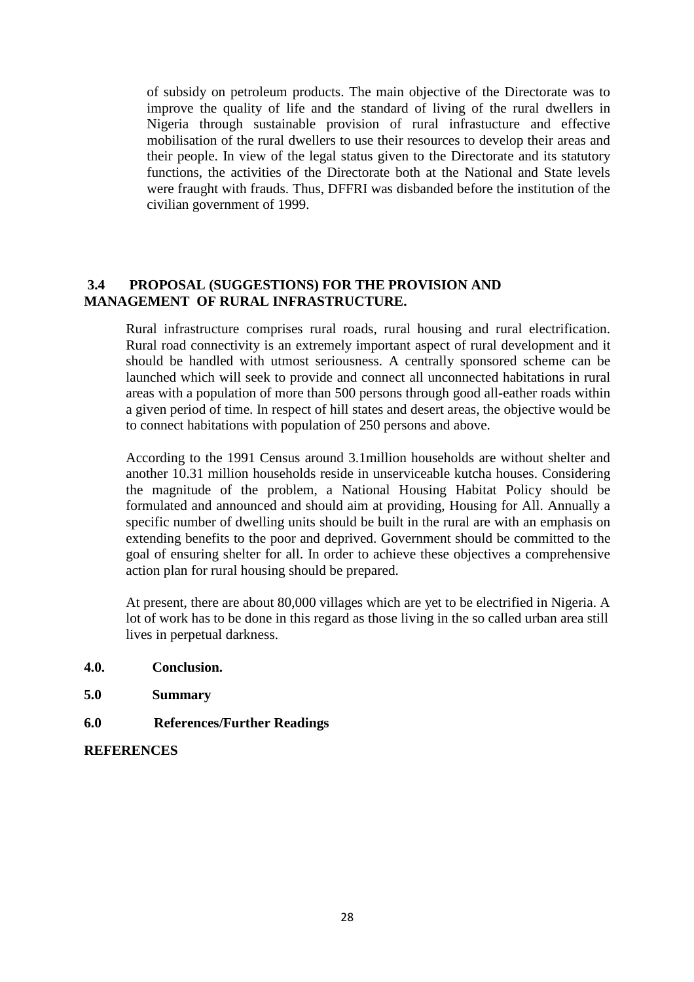of subsidy on petroleum products. The main objective of the Directorate was to improve the quality of life and the standard of living of the rural dwellers in Nigeria through sustainable provision of rural infrastucture and effective mobilisation of the rural dwellers to use their resources to develop their areas and their people. In view of the legal status given to the Directorate and its statutory functions, the activities of the Directorate both at the National and State levels were fraught with frauds. Thus, DFFRI was disbanded before the institution of the civilian government of 1999.

### **3.4 PROPOSAL (SUGGESTIONS) FOR THE PROVISION AND MANAGEMENT OF RURAL INFRASTRUCTURE.**

Rural infrastructure comprises rural roads, rural housing and rural electrification. Rural road connectivity is an extremely important aspect of rural development and it should be handled with utmost seriousness. A centrally sponsored scheme can be launched which will seek to provide and connect all unconnected habitations in rural areas with a population of more than 500 persons through good all-eather roads within a given period of time. In respect of hill states and desert areas, the objective would be to connect habitations with population of 250 persons and above.

According to the 1991 Census around 3.1million households are without shelter and another 10.31 million households reside in unserviceable kutcha houses. Considering the magnitude of the problem, a National Housing Habitat Policy should be formulated and announced and should aim at providing, Housing for All. Annually a specific number of dwelling units should be built in the rural are with an emphasis on extending benefits to the poor and deprived. Government should be committed to the goal of ensuring shelter for all. In order to achieve these objectives a comprehensive action plan for rural housing should be prepared.

At present, there are about 80,000 villages which are yet to be electrified in Nigeria. A lot of work has to be done in this regard as those living in the so called urban area still lives in perpetual darkness.

- **4.0. Conclusion.**
- **5.0 Summary**
- **6.0 References/Further Readings**

### **REFERENCES**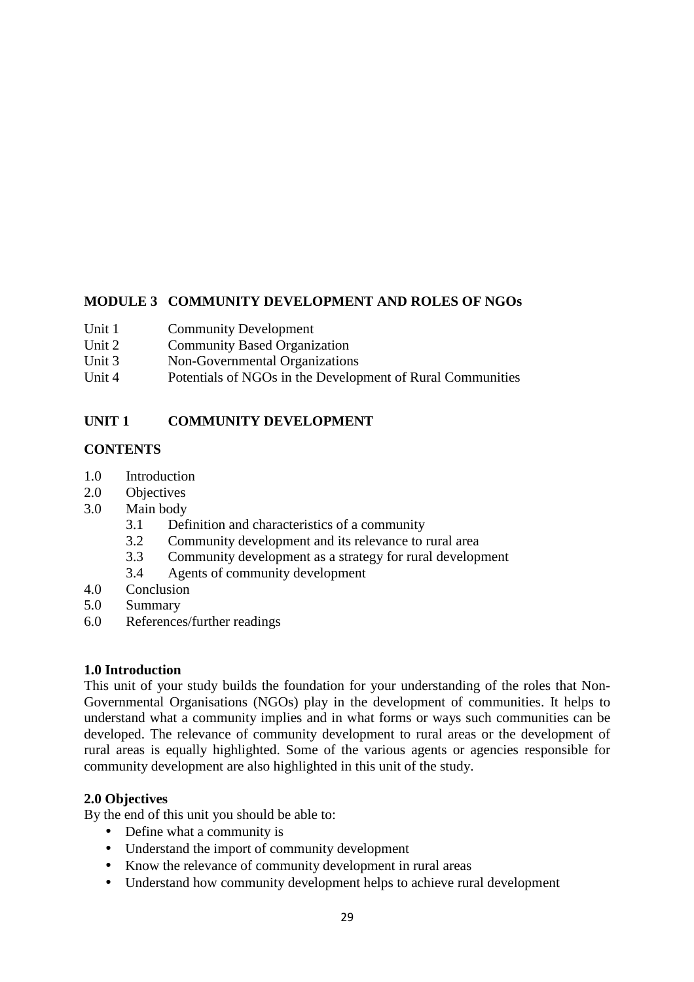# **MODULE 3 COMMUNITY DEVELOPMENT AND ROLES OF NGOs**

- Unit 1 Community Development
- Unit 2 Community Based Organization
- Unit 3 Non-Governmental Organizations
- Unit 4 Potentials of NGOs in the Development of Rural Communities

# **UNIT 1 COMMUNITY DEVELOPMENT**

# **CONTENTS**

- 1.0 Introduction
- 2.0 Objectives
- 3.0 Main body
	- 3.1 Definition and characteristics of a community
	- 3.2 Community development and its relevance to rural area
	- 3.3 Community development as a strategy for rural development
	- 3.4 Agents of community development
- 4.0 Conclusion
- 5.0 Summary
- 6.0 References/further readings

# **1.0 Introduction**

This unit of your study builds the foundation for your understanding of the roles that Non-Governmental Organisations (NGOs) play in the development of communities. It helps to understand what a community implies and in what forms or ways such communities can be developed. The relevance of community development to rural areas or the development of rural areas is equally highlighted. Some of the various agents or agencies responsible for community development are also highlighted in this unit of the study.

# **2.0 Objectives**

By the end of this unit you should be able to:

- Define what a community is
- Understand the import of community development
- Know the relevance of community development in rural areas
- Understand how community development helps to achieve rural development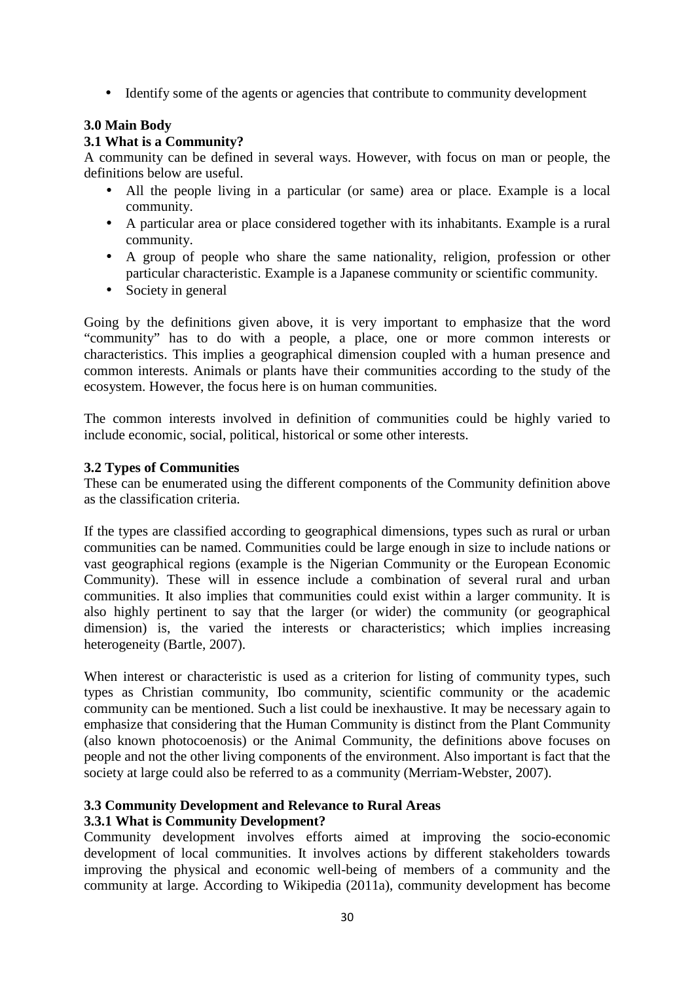• Identify some of the agents or agencies that contribute to community development

# **3.0 Main Body**

### **3.1 What is a Community?**

A community can be defined in several ways. However, with focus on man or people, the definitions below are useful.

- All the people living in a particular (or same) area or place. Example is a local community.
- A particular area or place considered together with its inhabitants. Example is a rural community.
- A group of people who share the same nationality, religion, profession or other particular characteristic. Example is a Japanese community or scientific community.
- Society in general

Going by the definitions given above, it is very important to emphasize that the word "community" has to do with a people, a place, one or more common interests or characteristics. This implies a geographical dimension coupled with a human presence and common interests. Animals or plants have their communities according to the study of the ecosystem. However, the focus here is on human communities.

The common interests involved in definition of communities could be highly varied to include economic, social, political, historical or some other interests.

### **3.2 Types of Communities**

These can be enumerated using the different components of the Community definition above as the classification criteria.

If the types are classified according to geographical dimensions, types such as rural or urban communities can be named. Communities could be large enough in size to include nations or vast geographical regions (example is the Nigerian Community or the European Economic Community). These will in essence include a combination of several rural and urban communities. It also implies that communities could exist within a larger community. It is also highly pertinent to say that the larger (or wider) the community (or geographical dimension) is, the varied the interests or characteristics; which implies increasing heterogeneity (Bartle, 2007).

When interest or characteristic is used as a criterion for listing of community types, such types as Christian community, Ibo community, scientific community or the academic community can be mentioned. Such a list could be inexhaustive. It may be necessary again to emphasize that considering that the Human Community is distinct from the Plant Community (also known photocoenosis) or the Animal Community, the definitions above focuses on people and not the other living components of the environment. Also important is fact that the society at large could also be referred to as a community (Merriam-Webster, 2007).

# **3.3 Community Development and Relevance to Rural Areas**

# **3.3.1 What is Community Development?**

Community development involves efforts aimed at improving the socio-economic development of local communities. It involves actions by different stakeholders towards improving the physical and economic well-being of members of a community and the community at large. According to Wikipedia (2011a), community development has become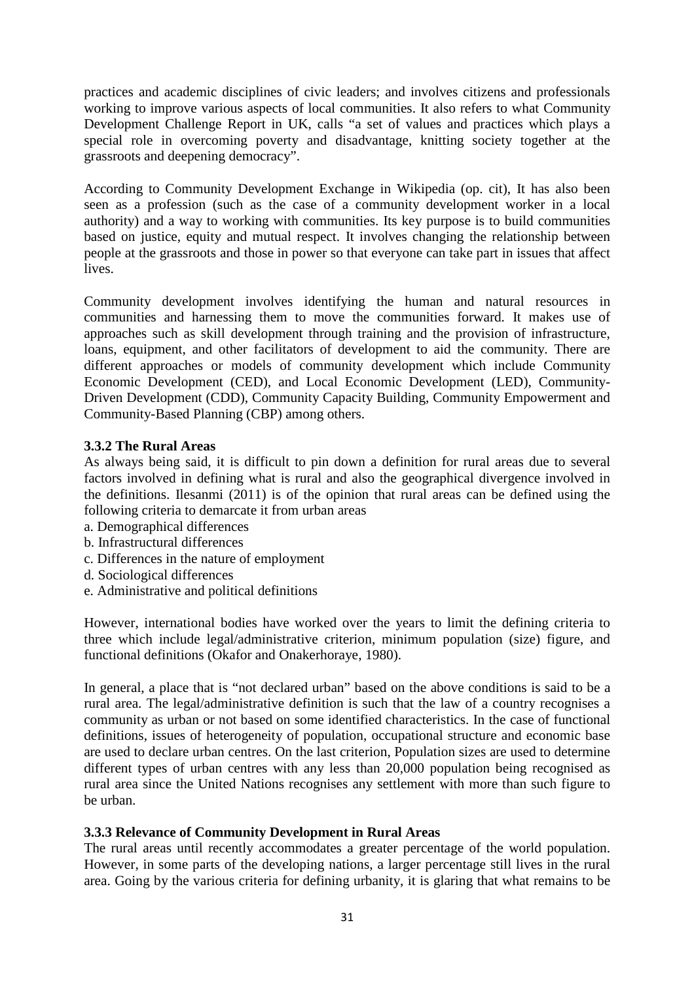practices and academic disciplines of civic leaders; and involves citizens and professionals working to improve various aspects of local communities. It also refers to what Community Development Challenge Report in UK, calls "a set of values and practices which plays a special role in overcoming poverty and disadvantage, knitting society together at the grassroots and deepening democracy".

According to Community Development Exchange in Wikipedia (op. cit), It has also been seen as a profession (such as the case of a community development worker in a local authority) and a way to working with communities. Its key purpose is to build communities based on justice, equity and mutual respect. It involves changing the relationship between people at the grassroots and those in power so that everyone can take part in issues that affect lives.

Community development involves identifying the human and natural resources in communities and harnessing them to move the communities forward. It makes use of approaches such as skill development through training and the provision of infrastructure, loans, equipment, and other facilitators of development to aid the community. There are different approaches or models of community development which include Community Economic Development (CED), and Local Economic Development (LED), Community-Driven Development (CDD), Community Capacity Building, Community Empowerment and Community-Based Planning (CBP) among others.

# **3.3.2 The Rural Areas**

As always being said, it is difficult to pin down a definition for rural areas due to several factors involved in defining what is rural and also the geographical divergence involved in the definitions. Ilesanmi (2011) is of the opinion that rural areas can be defined using the following criteria to demarcate it from urban areas

- a. Demographical differences
- b. Infrastructural differences
- c. Differences in the nature of employment
- d. Sociological differences
- e. Administrative and political definitions

However, international bodies have worked over the years to limit the defining criteria to three which include legal/administrative criterion, minimum population (size) figure, and functional definitions (Okafor and Onakerhoraye, 1980).

In general, a place that is "not declared urban" based on the above conditions is said to be a rural area. The legal/administrative definition is such that the law of a country recognises a community as urban or not based on some identified characteristics. In the case of functional definitions, issues of heterogeneity of population, occupational structure and economic base are used to declare urban centres. On the last criterion, Population sizes are used to determine different types of urban centres with any less than 20,000 population being recognised as rural area since the United Nations recognises any settlement with more than such figure to be urban.

### **3.3.3 Relevance of Community Development in Rural Areas**

The rural areas until recently accommodates a greater percentage of the world population. However, in some parts of the developing nations, a larger percentage still lives in the rural area. Going by the various criteria for defining urbanity, it is glaring that what remains to be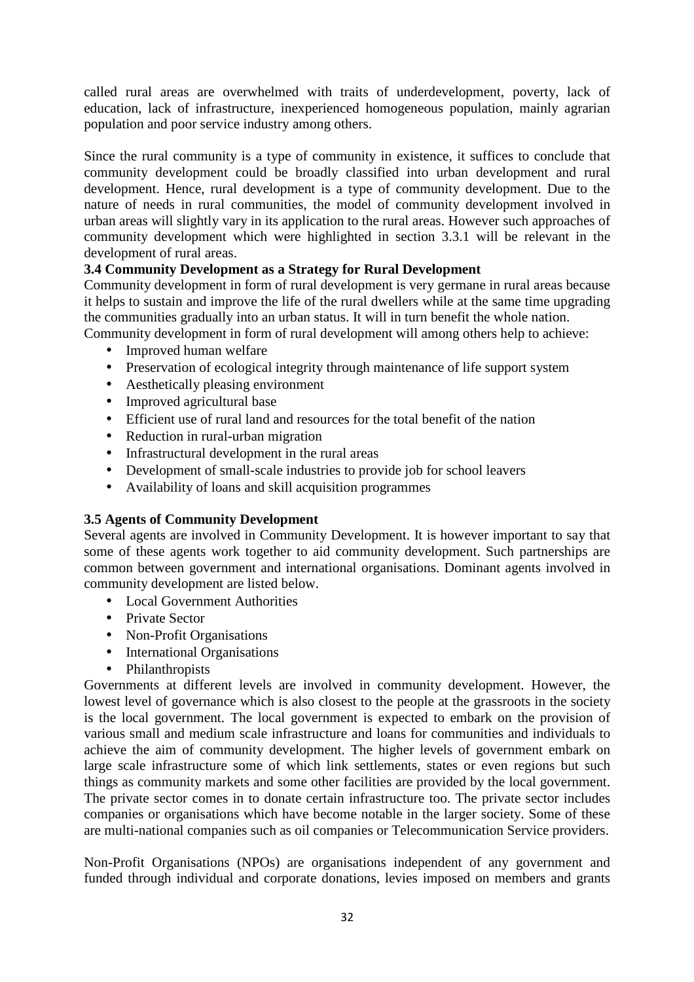called rural areas are overwhelmed with traits of underdevelopment, poverty, lack of education, lack of infrastructure, inexperienced homogeneous population, mainly agrarian population and poor service industry among others.

Since the rural community is a type of community in existence, it suffices to conclude that community development could be broadly classified into urban development and rural development. Hence, rural development is a type of community development. Due to the nature of needs in rural communities, the model of community development involved in urban areas will slightly vary in its application to the rural areas. However such approaches of community development which were highlighted in section 3.3.1 will be relevant in the development of rural areas.

# **3.4 Community Development as a Strategy for Rural Development**

Community development in form of rural development is very germane in rural areas because it helps to sustain and improve the life of the rural dwellers while at the same time upgrading the communities gradually into an urban status. It will in turn benefit the whole nation.

Community development in form of rural development will among others help to achieve:

- Improved human welfare
- Preservation of ecological integrity through maintenance of life support system
- Aesthetically pleasing environment
- Improved agricultural base
- Efficient use of rural land and resources for the total benefit of the nation
- Reduction in rural-urban migration
- Infrastructural development in the rural areas
- Development of small-scale industries to provide job for school leavers
- Availability of loans and skill acquisition programmes

# **3.5 Agents of Community Development**

Several agents are involved in Community Development. It is however important to say that some of these agents work together to aid community development. Such partnerships are common between government and international organisations. Dominant agents involved in community development are listed below.

- Local Government Authorities
- Private Sector
- Non-Profit Organisations
- International Organisations
- Philanthropists

Governments at different levels are involved in community development. However, the lowest level of governance which is also closest to the people at the grassroots in the society is the local government. The local government is expected to embark on the provision of various small and medium scale infrastructure and loans for communities and individuals to achieve the aim of community development. The higher levels of government embark on large scale infrastructure some of which link settlements, states or even regions but such things as community markets and some other facilities are provided by the local government. The private sector comes in to donate certain infrastructure too. The private sector includes companies or organisations which have become notable in the larger society. Some of these are multi-national companies such as oil companies or Telecommunication Service providers.

Non-Profit Organisations (NPOs) are organisations independent of any government and funded through individual and corporate donations, levies imposed on members and grants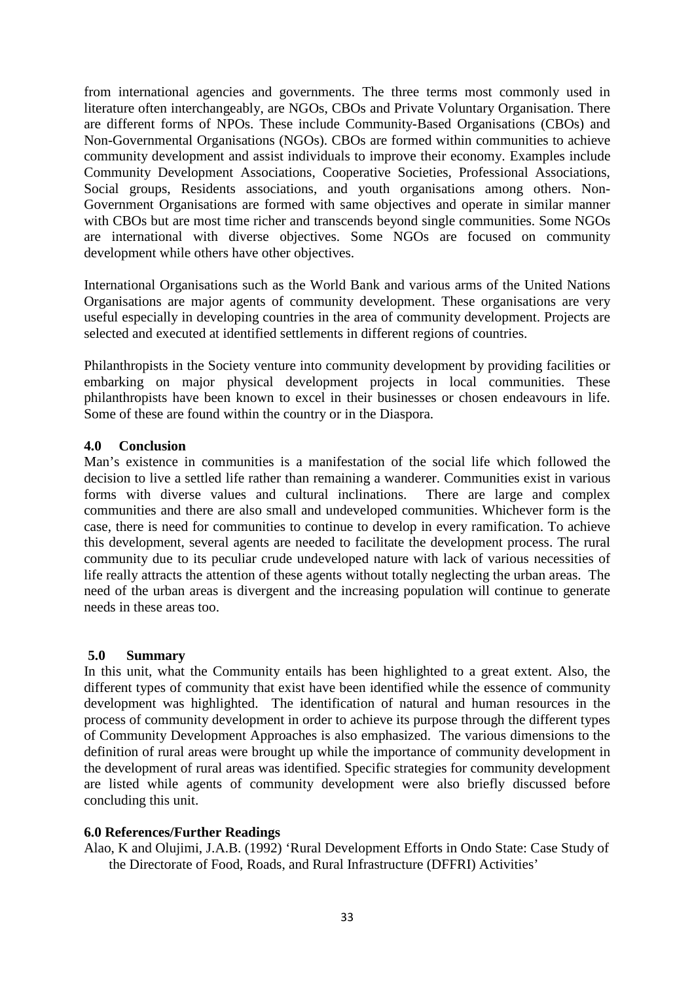from international agencies and governments. The three terms most commonly used in literature often interchangeably, are NGOs, CBOs and Private Voluntary Organisation. There are different forms of NPOs. These include Community-Based Organisations (CBOs) and Non-Governmental Organisations (NGOs). CBOs are formed within communities to achieve community development and assist individuals to improve their economy. Examples include Community Development Associations, Cooperative Societies, Professional Associations, Social groups, Residents associations, and youth organisations among others. Non-Government Organisations are formed with same objectives and operate in similar manner with CBOs but are most time richer and transcends beyond single communities. Some NGOs are international with diverse objectives. Some NGOs are focused on community development while others have other objectives.

International Organisations such as the World Bank and various arms of the United Nations Organisations are major agents of community development. These organisations are very useful especially in developing countries in the area of community development. Projects are selected and executed at identified settlements in different regions of countries.

Philanthropists in the Society venture into community development by providing facilities or embarking on major physical development projects in local communities. These philanthropists have been known to excel in their businesses or chosen endeavours in life. Some of these are found within the country or in the Diaspora.

### **4.0 Conclusion**

Man's existence in communities is a manifestation of the social life which followed the decision to live a settled life rather than remaining a wanderer. Communities exist in various forms with diverse values and cultural inclinations. There are large and complex communities and there are also small and undeveloped communities. Whichever form is the case, there is need for communities to continue to develop in every ramification. To achieve this development, several agents are needed to facilitate the development process. The rural community due to its peculiar crude undeveloped nature with lack of various necessities of life really attracts the attention of these agents without totally neglecting the urban areas. The need of the urban areas is divergent and the increasing population will continue to generate needs in these areas too.

### **5.0 Summary**

In this unit, what the Community entails has been highlighted to a great extent. Also, the different types of community that exist have been identified while the essence of community development was highlighted. The identification of natural and human resources in the process of community development in order to achieve its purpose through the different types of Community Development Approaches is also emphasized. The various dimensions to the definition of rural areas were brought up while the importance of community development in the development of rural areas was identified. Specific strategies for community development are listed while agents of community development were also briefly discussed before concluding this unit.

# **6.0 References/Further Readings**

Alao, K and Olujimi, J.A.B. (1992) 'Rural Development Efforts in Ondo State: Case Study of the Directorate of Food, Roads, and Rural Infrastructure (DFFRI) Activities'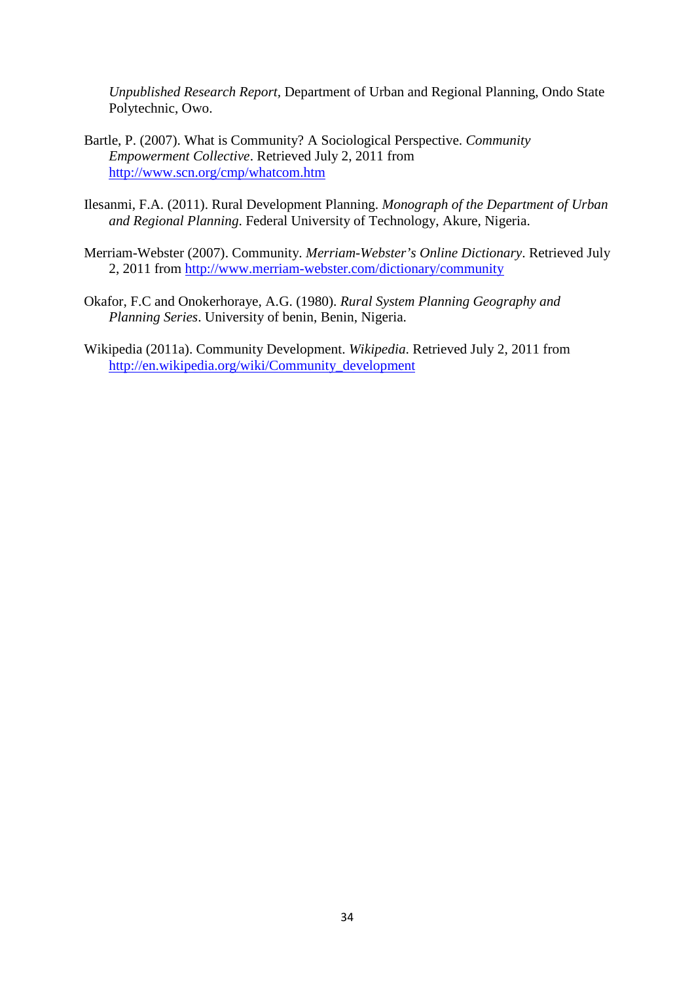*Unpublished Research Report,* Department of Urban and Regional Planning, Ondo State Polytechnic, Owo.

- Bartle, P. (2007). What is Community? A Sociological Perspective. *Community Empowerment Collective*. Retrieved July 2, 2011 from http://www.scn.org/cmp/whatcom.htm
- Ilesanmi, F.A. (2011). Rural Development Planning. *Monograph of the Department of Urban and Regional Planning*. Federal University of Technology, Akure, Nigeria.
- Merriam-Webster (2007). Community. *Merriam-Webster's Online Dictionary*. Retrieved July 2, 2011 from http://www.merriam-webster.com/dictionary/community
- Okafor, F.C and Onokerhoraye, A.G. (1980). *Rural System Planning Geography and Planning Series*. University of benin, Benin, Nigeria.
- Wikipedia (2011a). Community Development. *Wikipedia*. Retrieved July 2, 2011 from http://en.wikipedia.org/wiki/Community\_development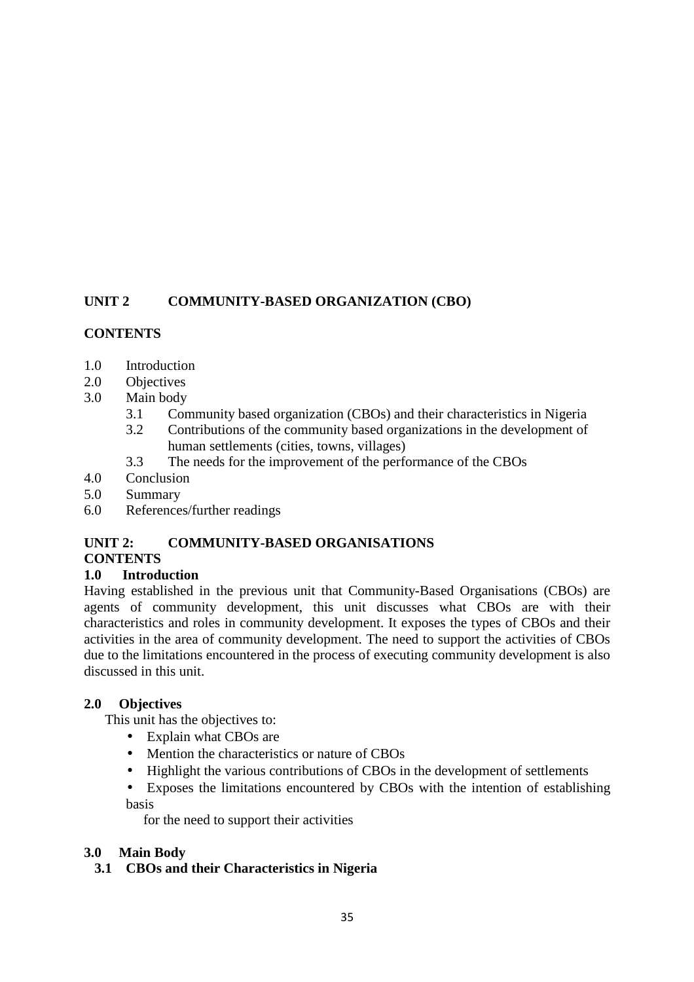# **UNIT 2 COMMUNITY-BASED ORGANIZATION (CBO)**

# **CONTENTS**

- 1.0 Introduction
- 2.0 Objectives
- 3.0 Main body
	- 3.1 Community based organization (CBOs) and their characteristics in Nigeria
	- 3.2 Contributions of the community based organizations in the development of human settlements (cities, towns, villages)
	- 3.3 The needs for the improvement of the performance of the CBOs
- 4.0 Conclusion
- 5.0 Summary
- 6.0 References/further readings

### **UNIT 2: COMMUNITY-BASED ORGANISATIONS CONTENTS**

# **1.0 Introduction**

Having established in the previous unit that Community-Based Organisations (CBOs) are agents of community development, this unit discusses what CBOs are with their characteristics and roles in community development. It exposes the types of CBOs and their activities in the area of community development. The need to support the activities of CBOs due to the limitations encountered in the process of executing community development is also discussed in this unit.

# **2.0 Objectives**

This unit has the objectives to:

- Explain what CBOs are
- Mention the characteristics or nature of CBOs
- Highlight the various contributions of CBOs in the development of settlements
- Exposes the limitations encountered by CBOs with the intention of establishing basis

for the need to support their activities

# **3.0 Main Body**

# **3.1 CBOs and their Characteristics in Nigeria**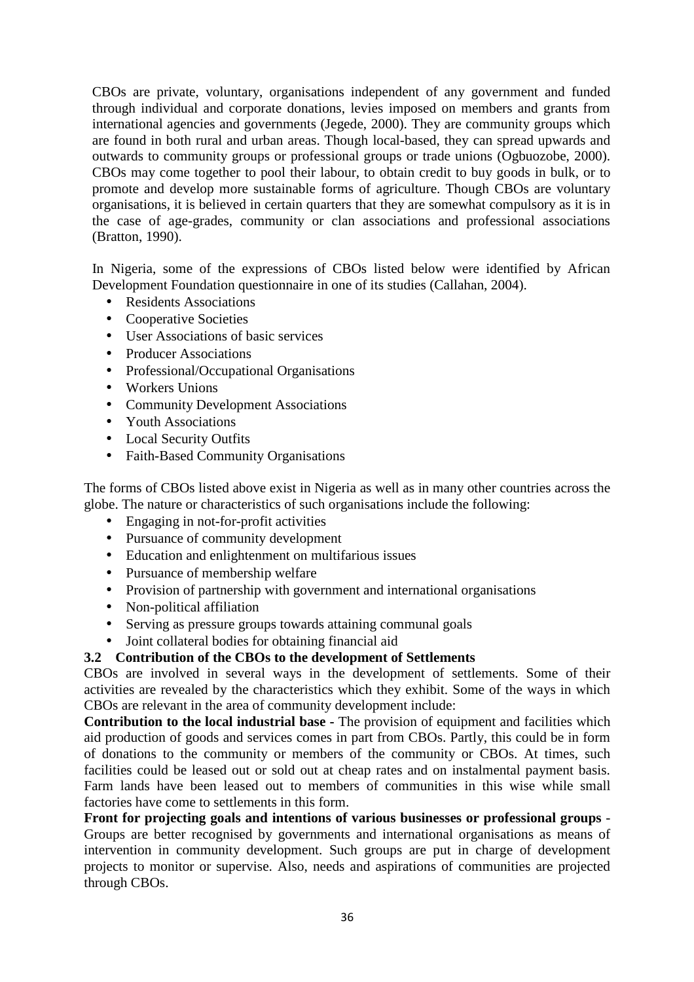CBOs are private, voluntary, organisations independent of any government and funded through individual and corporate donations, levies imposed on members and grants from international agencies and governments (Jegede, 2000). They are community groups which are found in both rural and urban areas. Though local-based, they can spread upwards and outwards to community groups or professional groups or trade unions (Ogbuozobe, 2000). CBOs may come together to pool their labour, to obtain credit to buy goods in bulk, or to promote and develop more sustainable forms of agriculture. Though CBOs are voluntary organisations, it is believed in certain quarters that they are somewhat compulsory as it is in the case of age-grades, community or clan associations and professional associations (Bratton, 1990).

In Nigeria, some of the expressions of CBOs listed below were identified by African Development Foundation questionnaire in one of its studies (Callahan, 2004).

- Residents Associations
- Cooperative Societies
- User Associations of basic services
- Producer Associations
- Professional/Occupational Organisations
- Workers Unions
- Community Development Associations
- Youth Associations
- Local Security Outfits
- Faith-Based Community Organisations

The forms of CBOs listed above exist in Nigeria as well as in many other countries across the globe. The nature or characteristics of such organisations include the following:

- Engaging in not-for-profit activities
- Pursuance of community development
- Education and enlightenment on multifarious issues
- Pursuance of membership welfare
- Provision of partnership with government and international organisations
- Non-political affiliation
- Serving as pressure groups towards attaining communal goals
- Joint collateral bodies for obtaining financial aid

# **3.2 Contribution of the CBOs to the development of Settlements**

CBOs are involved in several ways in the development of settlements. Some of their activities are revealed by the characteristics which they exhibit. Some of the ways in which CBOs are relevant in the area of community development include:

**Contribution to the local industrial base -** The provision of equipment and facilities which aid production of goods and services comes in part from CBOs. Partly, this could be in form of donations to the community or members of the community or CBOs. At times, such facilities could be leased out or sold out at cheap rates and on instalmental payment basis. Farm lands have been leased out to members of communities in this wise while small factories have come to settlements in this form.

**Front for projecting goals and intentions of various businesses or professional groups** - Groups are better recognised by governments and international organisations as means of intervention in community development. Such groups are put in charge of development projects to monitor or supervise. Also, needs and aspirations of communities are projected through CBOs.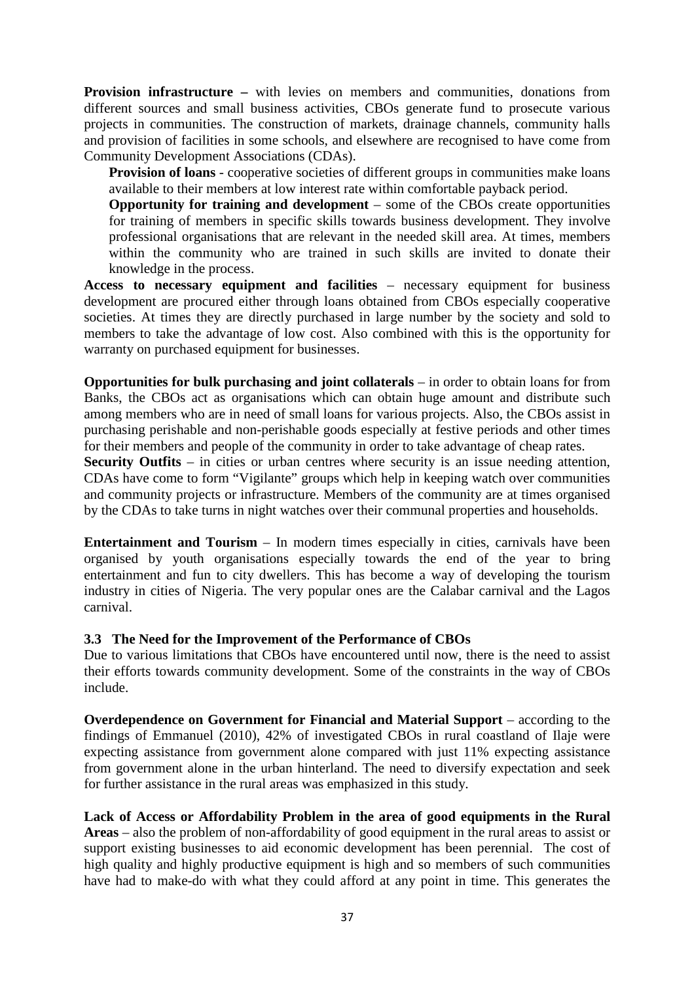**Provision infrastructure –** with levies on members and communities, donations from different sources and small business activities, CBOs generate fund to prosecute various projects in communities. The construction of markets, drainage channels, community halls and provision of facilities in some schools, and elsewhere are recognised to have come from Community Development Associations (CDAs).

**Provision of loans** - cooperative societies of different groups in communities make loans available to their members at low interest rate within comfortable payback period.

**Opportunity for training and development** – some of the CBOs create opportunities for training of members in specific skills towards business development. They involve professional organisations that are relevant in the needed skill area. At times, members within the community who are trained in such skills are invited to donate their knowledge in the process.

**Access to necessary equipment and facilities** – necessary equipment for business development are procured either through loans obtained from CBOs especially cooperative societies. At times they are directly purchased in large number by the society and sold to members to take the advantage of low cost. Also combined with this is the opportunity for warranty on purchased equipment for businesses.

**Opportunities for bulk purchasing and joint collaterals** – in order to obtain loans for from Banks, the CBOs act as organisations which can obtain huge amount and distribute such among members who are in need of small loans for various projects. Also, the CBOs assist in purchasing perishable and non-perishable goods especially at festive periods and other times for their members and people of the community in order to take advantage of cheap rates.

**Security Outfits** – in cities or urban centres where security is an issue needing attention, CDAs have come to form "Vigilante" groups which help in keeping watch over communities and community projects or infrastructure. Members of the community are at times organised by the CDAs to take turns in night watches over their communal properties and households.

**Entertainment and Tourism** – In modern times especially in cities, carnivals have been organised by youth organisations especially towards the end of the year to bring entertainment and fun to city dwellers. This has become a way of developing the tourism industry in cities of Nigeria. The very popular ones are the Calabar carnival and the Lagos carnival.

### **3.3 The Need for the Improvement of the Performance of CBOs**

Due to various limitations that CBOs have encountered until now, there is the need to assist their efforts towards community development. Some of the constraints in the way of CBOs include.

**Overdependence on Government for Financial and Material Support** – according to the findings of Emmanuel (2010), 42% of investigated CBOs in rural coastland of Ilaje were expecting assistance from government alone compared with just 11% expecting assistance from government alone in the urban hinterland. The need to diversify expectation and seek for further assistance in the rural areas was emphasized in this study.

**Lack of Access or Affordability Problem in the area of good equipments in the Rural Areas** – also the problem of non-affordability of good equipment in the rural areas to assist or support existing businesses to aid economic development has been perennial. The cost of high quality and highly productive equipment is high and so members of such communities have had to make-do with what they could afford at any point in time. This generates the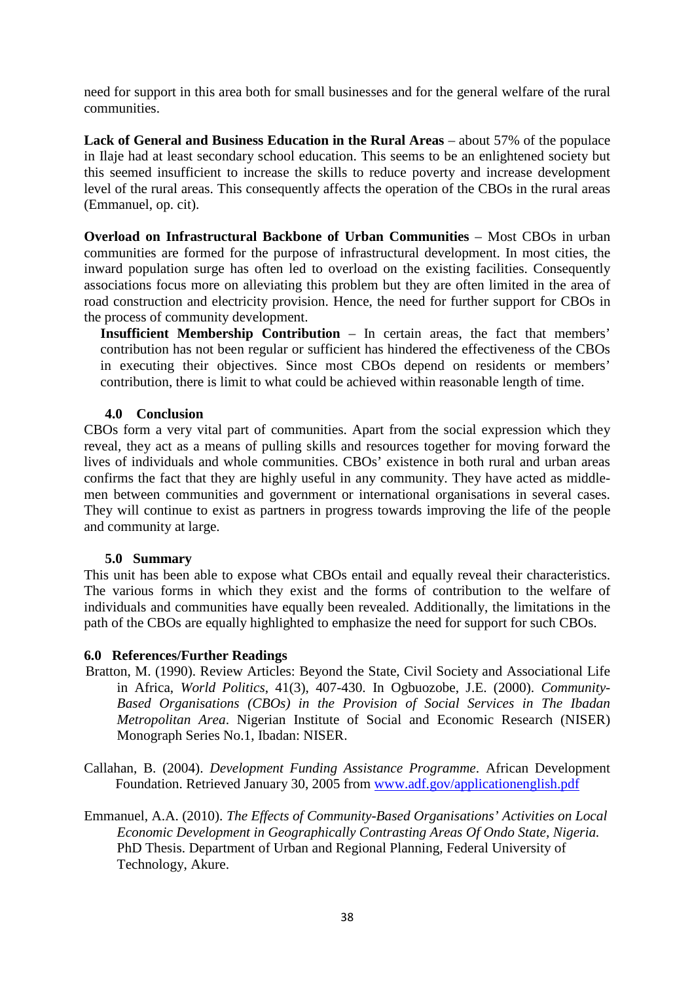need for support in this area both for small businesses and for the general welfare of the rural communities.

**Lack of General and Business Education in the Rural Areas** – about 57% of the populace in Ilaje had at least secondary school education. This seems to be an enlightened society but this seemed insufficient to increase the skills to reduce poverty and increase development level of the rural areas. This consequently affects the operation of the CBOs in the rural areas (Emmanuel, op. cit).

**Overload on Infrastructural Backbone of Urban Communities** – Most CBOs in urban communities are formed for the purpose of infrastructural development. In most cities, the inward population surge has often led to overload on the existing facilities. Consequently associations focus more on alleviating this problem but they are often limited in the area of road construction and electricity provision. Hence, the need for further support for CBOs in the process of community development.

**Insufficient Membership Contribution** – In certain areas, the fact that members' contribution has not been regular or sufficient has hindered the effectiveness of the CBOs in executing their objectives. Since most CBOs depend on residents or members' contribution, there is limit to what could be achieved within reasonable length of time.

### **4.0 Conclusion**

CBOs form a very vital part of communities. Apart from the social expression which they reveal, they act as a means of pulling skills and resources together for moving forward the lives of individuals and whole communities. CBOs' existence in both rural and urban areas confirms the fact that they are highly useful in any community. They have acted as middlemen between communities and government or international organisations in several cases. They will continue to exist as partners in progress towards improving the life of the people and community at large.

### **5.0 Summary**

This unit has been able to expose what CBOs entail and equally reveal their characteristics. The various forms in which they exist and the forms of contribution to the welfare of individuals and communities have equally been revealed. Additionally, the limitations in the path of the CBOs are equally highlighted to emphasize the need for support for such CBOs.

### **6.0 References/Further Readings**

- Bratton, M. (1990). Review Articles: Beyond the State, Civil Society and Associational Life in Africa, *World Politics*, 41(3), 407-430. In Ogbuozobe, J.E. (2000). *Community-Based Organisations (CBOs) in the Provision of Social Services in The Ibadan Metropolitan Area*. Nigerian Institute of Social and Economic Research (NISER) Monograph Series No.1, Ibadan: NISER.
- Callahan, B. (2004). *Development Funding Assistance Programme*. African Development Foundation. Retrieved January 30, 2005 from www.adf.gov/applicationenglish.pdf
- Emmanuel, A.A. (2010). *The Effects of Community-Based Organisations' Activities on Local Economic Development in Geographically Contrasting Areas Of Ondo State, Nigeria.* PhD Thesis. Department of Urban and Regional Planning, Federal University of Technology, Akure.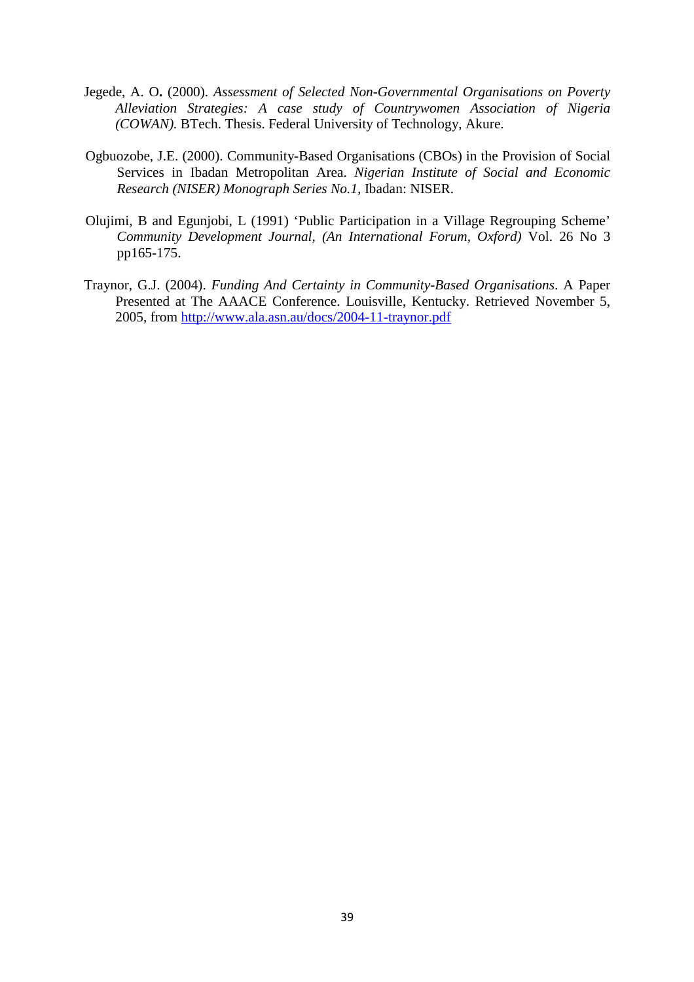- Jegede, A. O**.** (2000). *Assessment of Selected Non-Governmental Organisations on Poverty Alleviation Strategies: A case study of Countrywomen Association of Nigeria (COWAN).* BTech. Thesis. Federal University of Technology, Akure.
- Ogbuozobe, J.E. (2000). Community-Based Organisations (CBOs) in the Provision of Social Services in Ibadan Metropolitan Area. *Nigerian Institute of Social and Economic Research (NISER) Monograph Series No.1,* Ibadan: NISER.
- Olujimi, B and Egunjobi, L (1991) 'Public Participation in a Village Regrouping Scheme' *Community Development Journal, (An International Forum, Oxford)* Vol. 26 No 3 pp165-175.
- Traynor, G.J. (2004). *Funding And Certainty in Community-Based Organisations*. A Paper Presented at The AAACE Conference. Louisville, Kentucky. Retrieved November 5, 2005, from http://www.ala.asn.au/docs/2004-11-traynor.pdf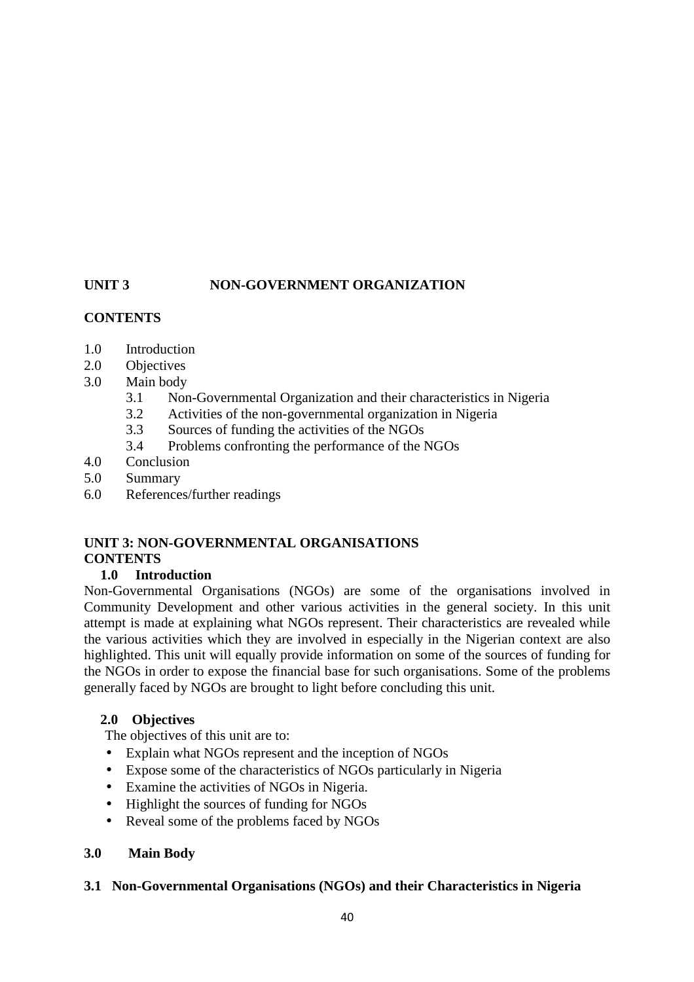# UNIT 3 NON-GOVERNMENT ORGANIZATION

# **CONTENTS**

- 1.0 Introduction
- 2.0 Objectives
- 3.0 Main body
	- 3.1 Non-Governmental Organization and their characteristics in Nigeria
	- 3.2 Activities of the non-governmental organization in Nigeria
	- 3.3 Sources of funding the activities of the NGOs
	- 3.4 Problems confronting the performance of the NGOs
- 4.0 Conclusion
- 5.0 Summary
- 6.0 References/further readings

# **UNIT 3: NON-GOVERNMENTAL ORGANISATIONS CONTENTS**

# **1.0 Introduction**

Non-Governmental Organisations (NGOs) are some of the organisations involved in Community Development and other various activities in the general society. In this unit attempt is made at explaining what NGOs represent. Their characteristics are revealed while the various activities which they are involved in especially in the Nigerian context are also highlighted. This unit will equally provide information on some of the sources of funding for the NGOs in order to expose the financial base for such organisations. Some of the problems generally faced by NGOs are brought to light before concluding this unit.

# **2.0 Objectives**

The objectives of this unit are to:

- Explain what NGOs represent and the inception of NGOs
- Expose some of the characteristics of NGOs particularly in Nigeria
- Examine the activities of NGOs in Nigeria.
- Highlight the sources of funding for NGOs
- Reveal some of the problems faced by NGOs

# **3.0 Main Body**

# **3.1 Non-Governmental Organisations (NGOs) and their Characteristics in Nigeria**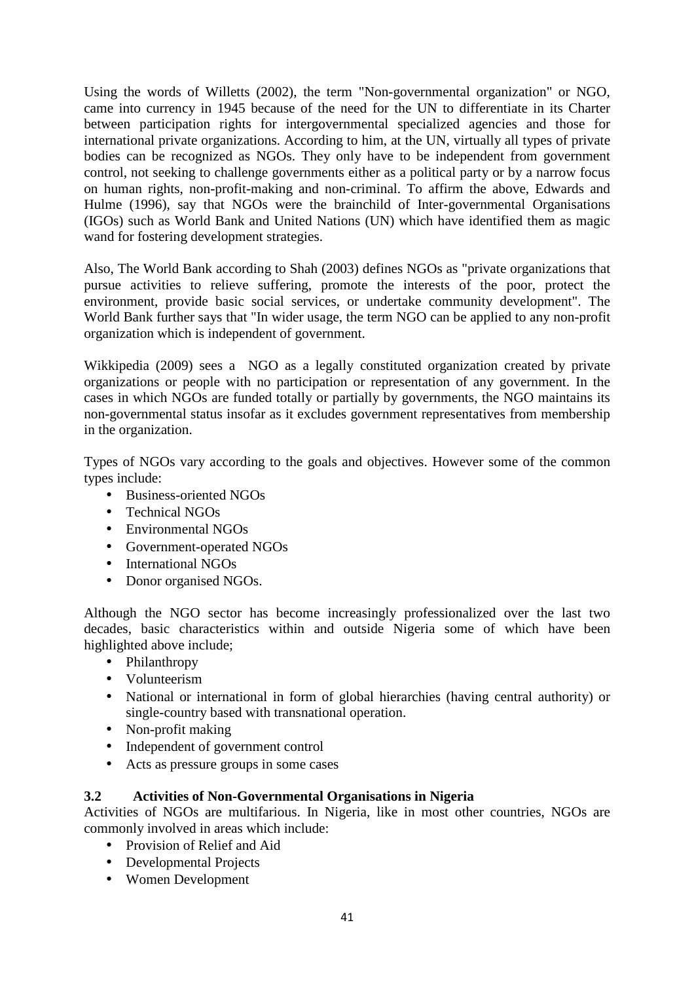Using the words of Willetts (2002), the term "Non-governmental organization" or NGO, came into currency in 1945 because of the need for the UN to differentiate in its Charter between participation rights for intergovernmental specialized agencies and those for international private organizations. According to him, at the UN, virtually all types of private bodies can be recognized as NGOs. They only have to be independent from government control, not seeking to challenge governments either as a political party or by a narrow focus on human rights, non-profit-making and non-criminal. To affirm the above, Edwards and Hulme (1996), say that NGOs were the brainchild of Inter-governmental Organisations (IGOs) such as World Bank and United Nations (UN) which have identified them as magic wand for fostering development strategies.

Also, The World Bank according to Shah (2003) defines NGOs as "private organizations that pursue activities to relieve suffering, promote the interests of the poor, protect the environment, provide basic social services, or undertake community development". The World Bank further says that "In wider usage, the term NGO can be applied to any non-profit organization which is independent of government.

Wikkipedia (2009) sees a NGO as a legally constituted organization created by private organizations or people with no participation or representation of any government. In the cases in which NGOs are funded totally or partially by governments, the NGO maintains its non-governmental status insofar as it excludes government representatives from membership in the organization.

Types of NGOs vary according to the goals and objectives. However some of the common types include:

- Business-oriented NGOs
- Technical NGOs
- Environmental NGOs
- Government-operated NGOs
- International NGOs
- Donor organised NGOs.

Although the NGO sector has become increasingly professionalized over the last two decades, basic characteristics within and outside Nigeria some of which have been highlighted above include;

- Philanthropy
- Volunteerism
- National or international in form of global hierarchies (having central authority) or single-country based with transnational operation.
- Non-profit making
- Independent of government control
- Acts as pressure groups in some cases

### **3.2 Activities of Non-Governmental Organisations in Nigeria**

Activities of NGOs are multifarious. In Nigeria, like in most other countries, NGOs are commonly involved in areas which include:

- Provision of Relief and Aid
- Developmental Projects
- Women Development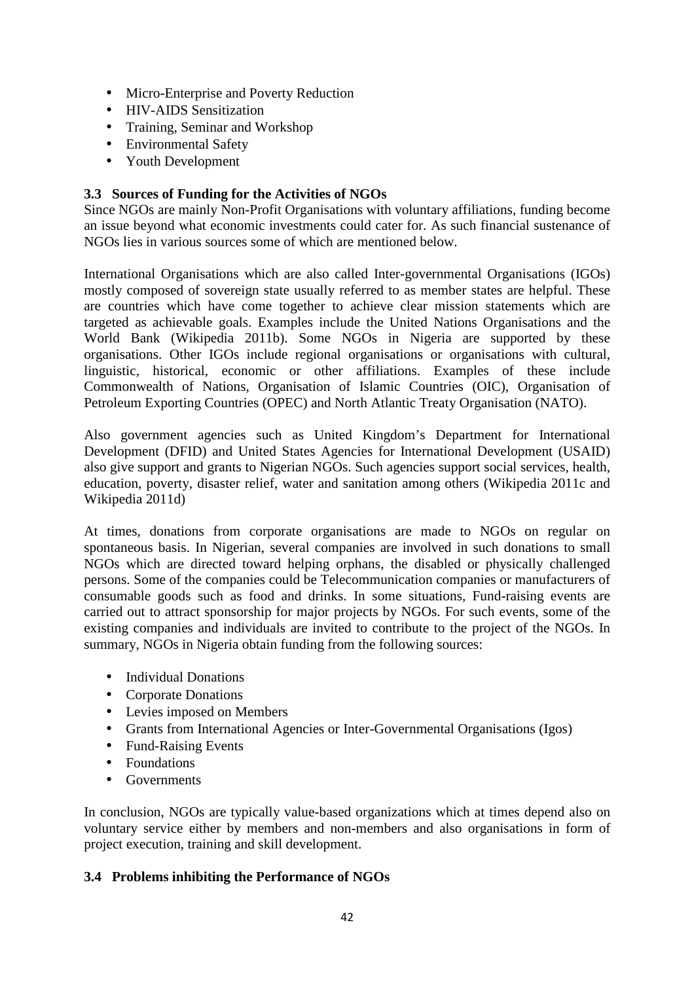- Micro-Enterprise and Poverty Reduction
- HIV-AIDS Sensitization
- Training, Seminar and Workshop
- Environmental Safety
- Youth Development

# **3.3 Sources of Funding for the Activities of NGOs**

Since NGOs are mainly Non-Profit Organisations with voluntary affiliations, funding become an issue beyond what economic investments could cater for. As such financial sustenance of NGOs lies in various sources some of which are mentioned below.

International Organisations which are also called Inter-governmental Organisations (IGOs) mostly composed of sovereign state usually referred to as member states are helpful. These are countries which have come together to achieve clear mission statements which are targeted as achievable goals. Examples include the United Nations Organisations and the World Bank (Wikipedia 2011b). Some NGOs in Nigeria are supported by these organisations. Other IGOs include regional organisations or organisations with cultural, linguistic, historical, economic or other affiliations. Examples of these include Commonwealth of Nations, Organisation of Islamic Countries (OIC), Organisation of Petroleum Exporting Countries (OPEC) and North Atlantic Treaty Organisation (NATO).

Also government agencies such as United Kingdom's Department for International Development (DFID) and United States Agencies for International Development (USAID) also give support and grants to Nigerian NGOs. Such agencies support social services, health, education, poverty, disaster relief, water and sanitation among others (Wikipedia 2011c and Wikipedia 2011d)

At times, donations from corporate organisations are made to NGOs on regular on spontaneous basis. In Nigerian, several companies are involved in such donations to small NGOs which are directed toward helping orphans, the disabled or physically challenged persons. Some of the companies could be Telecommunication companies or manufacturers of consumable goods such as food and drinks. In some situations, Fund-raising events are carried out to attract sponsorship for major projects by NGOs. For such events, some of the existing companies and individuals are invited to contribute to the project of the NGOs. In summary, NGOs in Nigeria obtain funding from the following sources:

- Individual Donations
- Corporate Donations
- Levies imposed on Members
- Grants from International Agencies or Inter-Governmental Organisations (Igos)
- Fund-Raising Events
- Foundations
- Governments

In conclusion, NGOs are typically value-based organizations which at times depend also on voluntary service either by members and non-members and also organisations in form of project execution, training and skill development.

# **3.4 Problems inhibiting the Performance of NGOs**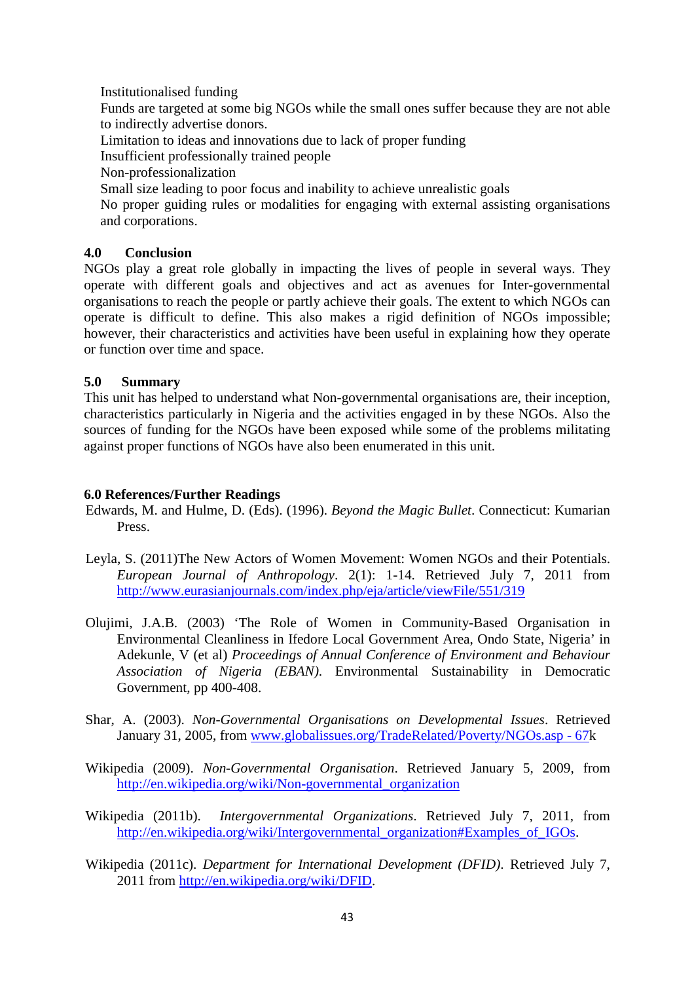Institutionalised funding

Funds are targeted at some big NGOs while the small ones suffer because they are not able to indirectly advertise donors.

Limitation to ideas and innovations due to lack of proper funding

Insufficient professionally trained people

Non-professionalization

Small size leading to poor focus and inability to achieve unrealistic goals

No proper guiding rules or modalities for engaging with external assisting organisations and corporations.

# **4.0 Conclusion**

NGOs play a great role globally in impacting the lives of people in several ways. They operate with different goals and objectives and act as avenues for Inter-governmental organisations to reach the people or partly achieve their goals. The extent to which NGOs can operate is difficult to define. This also makes a rigid definition of NGOs impossible; however, their characteristics and activities have been useful in explaining how they operate or function over time and space.

# **5.0 Summary**

This unit has helped to understand what Non-governmental organisations are, their inception, characteristics particularly in Nigeria and the activities engaged in by these NGOs. Also the sources of funding for the NGOs have been exposed while some of the problems militating against proper functions of NGOs have also been enumerated in this unit.

# **6.0 References/Further Readings**

- Edwards, M. and Hulme, D. (Eds). (1996). *Beyond the Magic Bullet*. Connecticut: Kumarian Press.
- Leyla, S. (2011)The New Actors of Women Movement: Women NGOs and their Potentials. *European Journal of Anthropology*. 2(1): 1-14. Retrieved July 7, 2011 from http://www.eurasianjournals.com/index.php/eja/article/viewFile/551/319
- Olujimi, J.A.B. (2003) 'The Role of Women in Community-Based Organisation in Environmental Cleanliness in Ifedore Local Government Area, Ondo State, Nigeria' in Adekunle, V (et al) *Proceedings of Annual Conference of Environment and Behaviour Association of Nigeria (EBAN)*. Environmental Sustainability in Democratic Government, pp 400-408.
- Shar, A. (2003). *Non-Governmental Organisations on Developmental Issues*. Retrieved January 31, 2005, from www.globalissues.org/TradeRelated/Poverty/NGOs.asp - 67k
- Wikipedia (2009). *Non-Governmental Organisation*. Retrieved January 5, 2009, from http://en.wikipedia.org/wiki/Non-governmental\_organization
- Wikipedia (2011b). *Intergovernmental Organizations*. Retrieved July 7, 2011, from http://en.wikipedia.org/wiki/Intergovernmental\_organization#Examples\_of\_IGOs.
- Wikipedia (2011c). *Department for International Development (DFID)*. Retrieved July 7, 2011 from http://en.wikipedia.org/wiki/DFID.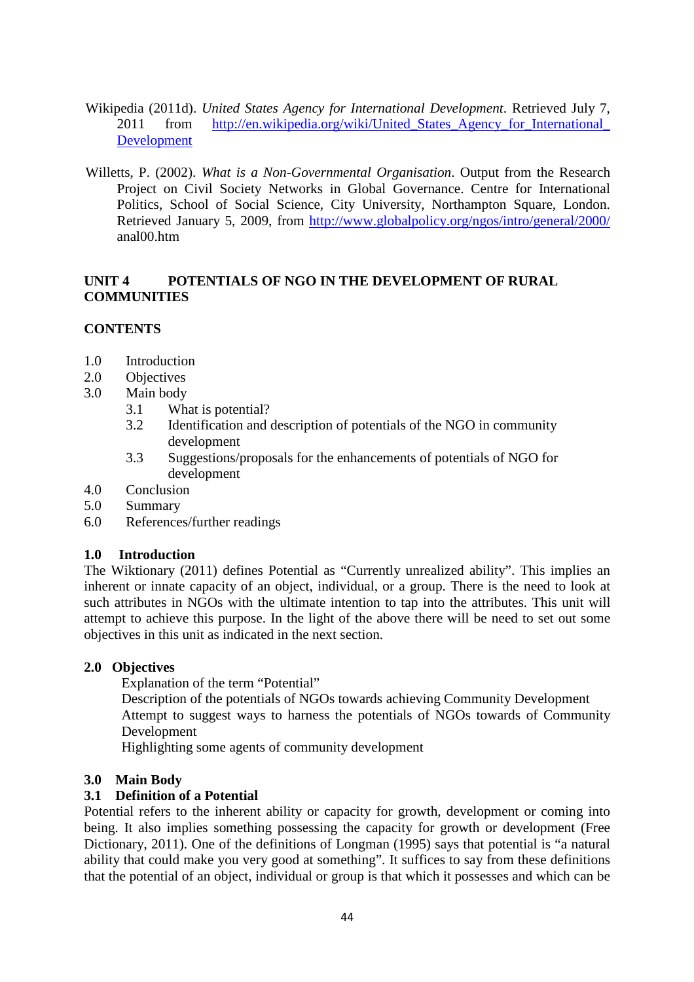- Wikipedia (2011d). *United States Agency for International Development*. Retrieved July 7, 2011 from http://en.wikipedia.org/wiki/United States Agency for International Development
- Willetts, P. (2002). *What is a Non-Governmental Organisation*. Output from the Research Project on Civil Society Networks in Global Governance. Centre for International Politics, School of Social Science, City University, Northampton Square, London. Retrieved January 5, 2009, from http://www.globalpolicy.org/ngos/intro/general/2000/ anal00.htm

# **UNIT 4 POTENTIALS OF NGO IN THE DEVELOPMENT OF RURAL COMMUNITIES**

# **CONTENTS**

- 1.0 Introduction
- 2.0 Objectives
- 3.0 Main body
	- 3.1 What is potential?
	- 3.2 Identification and description of potentials of the NGO in community development
	- 3.3 Suggestions/proposals for the enhancements of potentials of NGO for development
- 4.0 Conclusion
- 5.0 Summary
- 6.0 References/further readings

# **1.0 Introduction**

The Wiktionary (2011) defines Potential as "Currently unrealized ability". This implies an inherent or innate capacity of an object, individual, or a group. There is the need to look at such attributes in NGOs with the ultimate intention to tap into the attributes. This unit will attempt to achieve this purpose. In the light of the above there will be need to set out some objectives in this unit as indicated in the next section.

# **2.0 Objectives**

Explanation of the term "Potential"

Description of the potentials of NGOs towards achieving Community Development Attempt to suggest ways to harness the potentials of NGOs towards of Community Development

Highlighting some agents of community development

# **3.0 Main Body**

# **3.1 Definition of a Potential**

Potential refers to the inherent ability or capacity for growth, development or coming into being. It also implies something possessing the capacity for growth or development (Free Dictionary, 2011). One of the definitions of Longman (1995) says that potential is "a natural ability that could make you very good at something". It suffices to say from these definitions that the potential of an object, individual or group is that which it possesses and which can be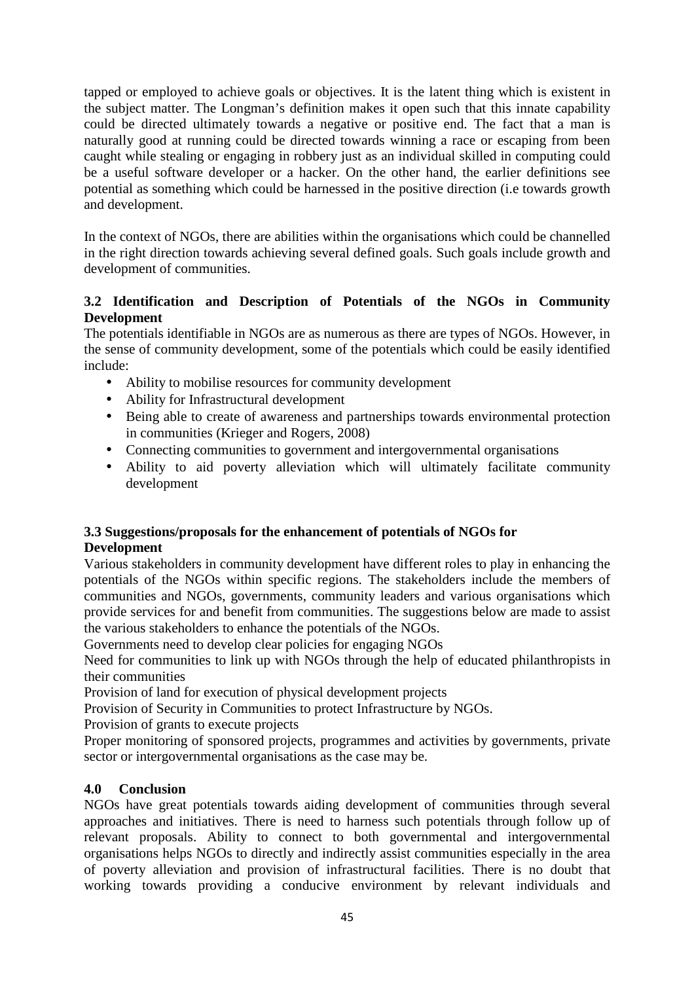tapped or employed to achieve goals or objectives. It is the latent thing which is existent in the subject matter. The Longman's definition makes it open such that this innate capability could be directed ultimately towards a negative or positive end. The fact that a man is naturally good at running could be directed towards winning a race or escaping from been caught while stealing or engaging in robbery just as an individual skilled in computing could be a useful software developer or a hacker. On the other hand, the earlier definitions see potential as something which could be harnessed in the positive direction (i.e towards growth and development.

In the context of NGOs, there are abilities within the organisations which could be channelled in the right direction towards achieving several defined goals. Such goals include growth and development of communities.

# **3.2 Identification and Description of Potentials of the NGOs in Community Development**

The potentials identifiable in NGOs are as numerous as there are types of NGOs. However, in the sense of community development, some of the potentials which could be easily identified include:

- Ability to mobilise resources for community development
- Ability for Infrastructural development
- Being able to create of awareness and partnerships towards environmental protection in communities (Krieger and Rogers, 2008)
- Connecting communities to government and intergovernmental organisations
- Ability to aid poverty alleviation which will ultimately facilitate community development

### **3.3 Suggestions/proposals for the enhancement of potentials of NGOs for Development**

Various stakeholders in community development have different roles to play in enhancing the potentials of the NGOs within specific regions. The stakeholders include the members of communities and NGOs, governments, community leaders and various organisations which provide services for and benefit from communities. The suggestions below are made to assist the various stakeholders to enhance the potentials of the NGOs.

Governments need to develop clear policies for engaging NGOs

Need for communities to link up with NGOs through the help of educated philanthropists in their communities

Provision of land for execution of physical development projects

Provision of Security in Communities to protect Infrastructure by NGOs.

Provision of grants to execute projects

Proper monitoring of sponsored projects, programmes and activities by governments, private sector or intergovernmental organisations as the case may be.

# **4.0 Conclusion**

NGOs have great potentials towards aiding development of communities through several approaches and initiatives. There is need to harness such potentials through follow up of relevant proposals. Ability to connect to both governmental and intergovernmental organisations helps NGOs to directly and indirectly assist communities especially in the area of poverty alleviation and provision of infrastructural facilities. There is no doubt that working towards providing a conducive environment by relevant individuals and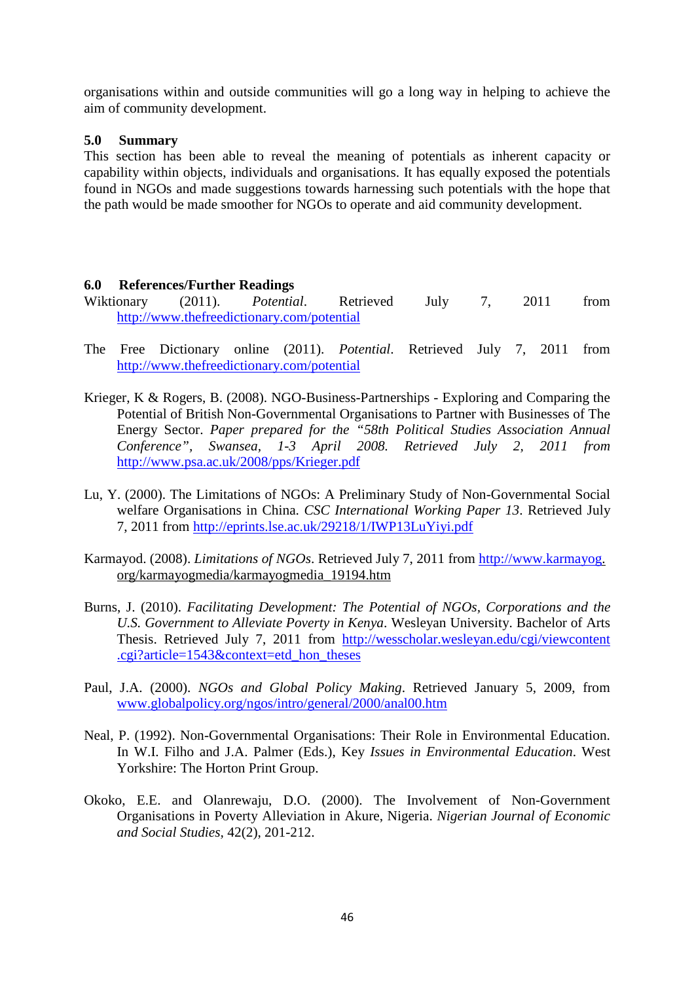organisations within and outside communities will go a long way in helping to achieve the aim of community development.

### **5.0 Summary**

This section has been able to reveal the meaning of potentials as inherent capacity or capability within objects, individuals and organisations. It has equally exposed the potentials found in NGOs and made suggestions towards harnessing such potentials with the hope that the path would be made smoother for NGOs to operate and aid community development.

### **6.0 References/Further Readings**

- Wiktionary (2011). *Potential*. Retrieved July 7, 2011 from http://www.thefreedictionary.com/potential
- The Free Dictionary online (2011). *Potential*. Retrieved July 7, 2011 from http://www.thefreedictionary.com/potential
- Krieger, K & Rogers, B. (2008). NGO-Business-Partnerships Exploring and Comparing the Potential of British Non-Governmental Organisations to Partner with Businesses of The Energy Sector. *Paper prepared for the "58th Political Studies Association Annual Conference", Swansea, 1-3 April 2008. Retrieved July 2, 2011 from*  http://www.psa.ac.uk/2008/pps/Krieger.pdf
- Lu, Y. (2000). The Limitations of NGOs: A Preliminary Study of Non-Governmental Social welfare Organisations in China. *CSC International Working Paper 13*. Retrieved July 7, 2011 from http://eprints.lse.ac.uk/29218/1/IWP13LuYiyi.pdf
- Karmayod. (2008). *Limitations of NGOs*. Retrieved July 7, 2011 from http://www.karmayog. org/karmayogmedia/karmayogmedia\_19194.htm
- Burns, J. (2010). *Facilitating Development: The Potential of NGOs, Corporations and the U.S. Government to Alleviate Poverty in Kenya*. Wesleyan University. Bachelor of Arts Thesis. Retrieved July 7, 2011 from http://wesscholar.wesleyan.edu/cgi/viewcontent .cgi?article=1543&context=etd\_hon\_theses
- Paul, J.A. (2000). *NGOs and Global Policy Making*. Retrieved January 5, 2009, from www.globalpolicy.org/ngos/intro/general/2000/anal00.htm
- Neal, P. (1992). Non-Governmental Organisations: Their Role in Environmental Education. In W.I. Filho and J.A. Palmer (Eds.), Key *Issues in Environmental Education*. West Yorkshire: The Horton Print Group.
- Okoko, E.E. and Olanrewaju, D.O. (2000). The Involvement of Non-Government Organisations in Poverty Alleviation in Akure, Nigeria. *Nigerian Journal of Economic and Social Studies,* 42(2), 201-212.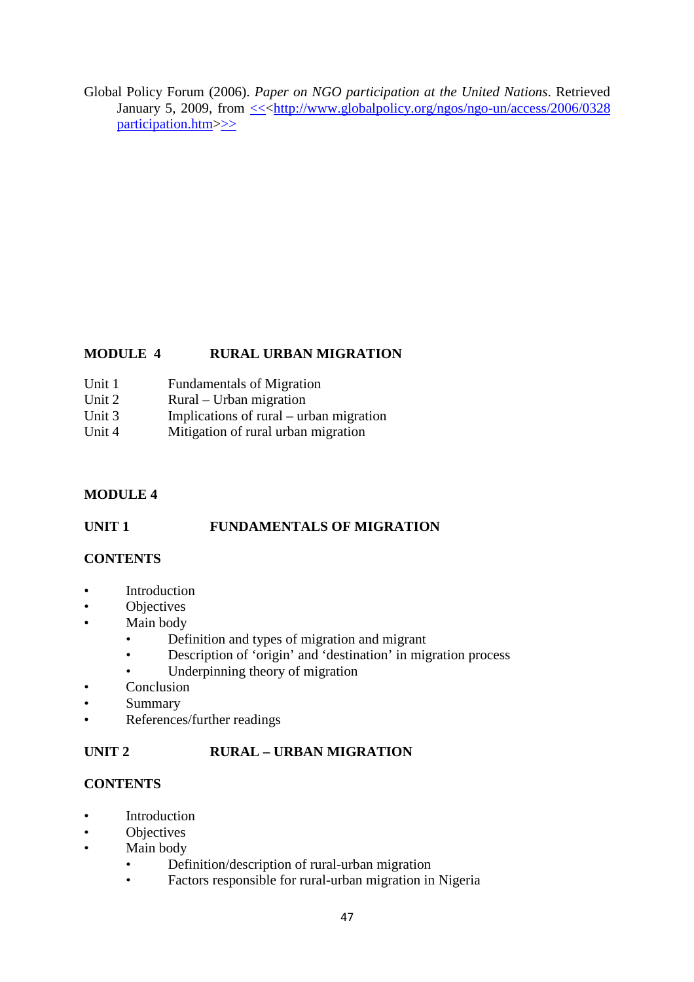Global Policy Forum (2006). *Paper on NGO participation at the United Nations*. Retrieved January 5, 2009, from  $\leq$  http://www.globalpolicy.org/ngos/ngo-un/access/2006/0328 participation.htm>>>

# **MODULE 4 RURAL URBAN MIGRATION**

- Unit 1 Fundamentals of Migration
- Unit 2 Rural Urban migration
- Unit 3 Implications of rural urban migration<br>Unit 4 Mitigation of rural urban migration
- Mitigation of rural urban migration

# **MODULE 4**

# UNIT 1 FUNDAMENTALS OF MIGRATION

# **CONTENTS**

- **Introduction**
- **Objectives**
- Main body
	- Definition and types of migration and migrant
	- Description of 'origin' and 'destination' in migration process
	- Underpinning theory of migration
- **Conclusion**
- **Summary**
- References/further readings

# **UNIT 2 RURAL – URBAN MIGRATION**

# **CONTENTS**

- **Introduction**
- Objectives
- Main body
	- Definition/description of rural-urban migration
	- Factors responsible for rural-urban migration in Nigeria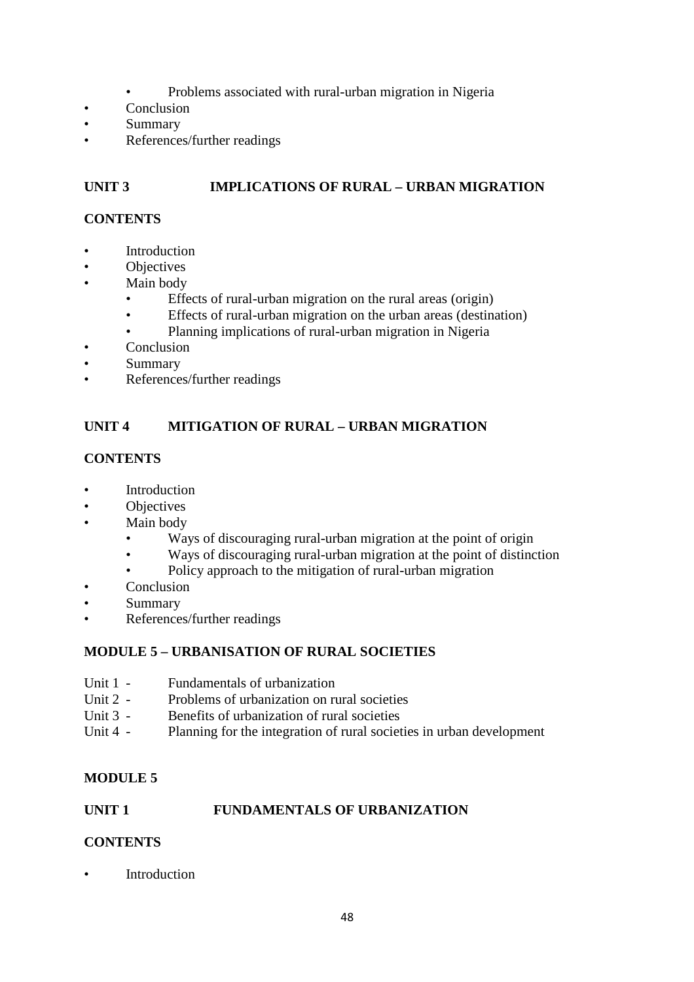- Problems associated with rural-urban migration in Nigeria
- Conclusion
- Summary
- References/further readings

# **UNIT 3 IMPLICATIONS OF RURAL – URBAN MIGRATION**

### **CONTENTS**

- **Introduction**
- **Objectives**
- Main body
	- Effects of rural-urban migration on the rural areas (origin)
	- Effects of rural-urban migration on the urban areas (destination)
	- Planning implications of rural-urban migration in Nigeria
- **Conclusion**
- **Summary**
- References/further readings

# **UNIT 4 MITIGATION OF RURAL – URBAN MIGRATION**

# **CONTENTS**

- **Introduction**
- Objectives
- Main body
	- Ways of discouraging rural-urban migration at the point of origin
	- Ways of discouraging rural-urban migration at the point of distinction
	- Policy approach to the mitigation of rural-urban migration
- Conclusion
- Summary
- References/further readings

# **MODULE 5 – URBANISATION OF RURAL SOCIETIES**

- Unit 1 Fundamentals of urbanization
- Unit 2 Problems of urbanization on rural societies
- Unit 3 Benefits of urbanization of rural societies
- Unit 4 Planning for the integration of rural societies in urban development

# **MODULE 5**

### **UNIT 1 FUNDAMENTALS OF URBANIZATION**

# **CONTENTS**

**Introduction**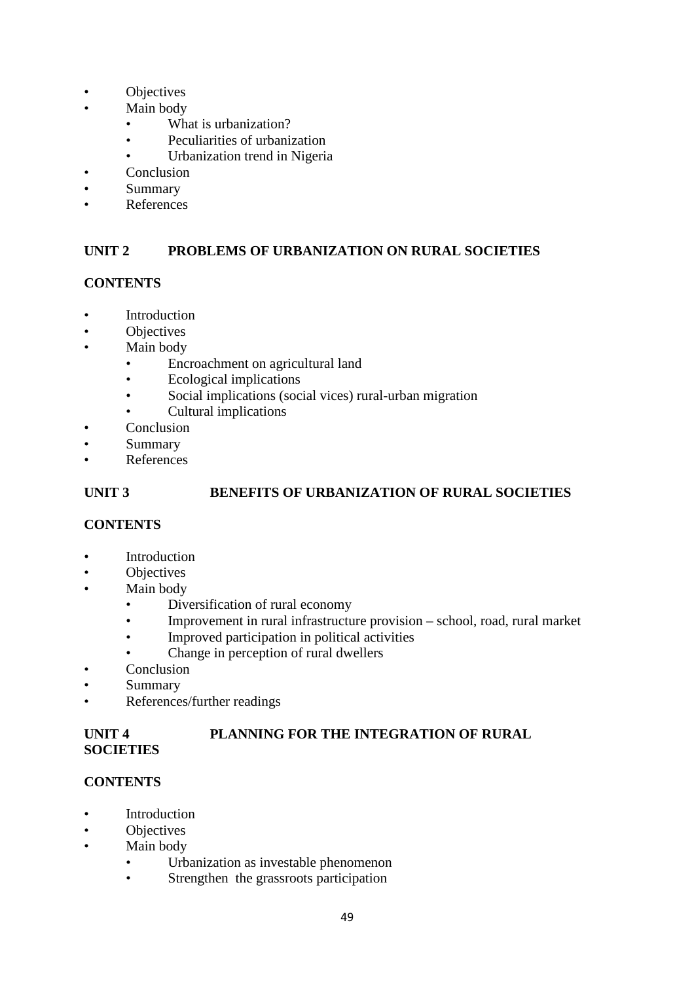- **Objectives**
- Main body
	- What is urbanization?
	- Peculiarities of urbanization
	- Urbanization trend in Nigeria
- **Conclusion**
- Summary
- **References**

# **UNIT 2 PROBLEMS OF URBANIZATION ON RURAL SOCIETIES**

# **CONTENTS**

- **Introduction**
- Objectives
- Main body
	- Encroachment on agricultural land<br>• Ecological implications
	- Ecological implications
	- Social implications (social vices) rural-urban migration
	- Cultural implications
- Conclusion
- Summary
- **References**

# **UNIT 3 BENEFITS OF URBANIZATION OF RURAL SOCIETIES**

# **CONTENTS**

- **Introduction**
- **Objectives**
- Main body
	- Diversification of rural economy
	- Improvement in rural infrastructure provision school, road, rural market
	- Improved participation in political activities
	- Change in perception of rural dwellers
- **Conclusion**
- Summary
- References/further readings

# **UNIT 4 PLANNING FOR THE INTEGRATION OF RURAL SOCIETIES**

### **CONTENTS**

- Introduction
- Objectives
- Main body
	- Urbanization as investable phenomenon
	- Strengthen the grassroots participation